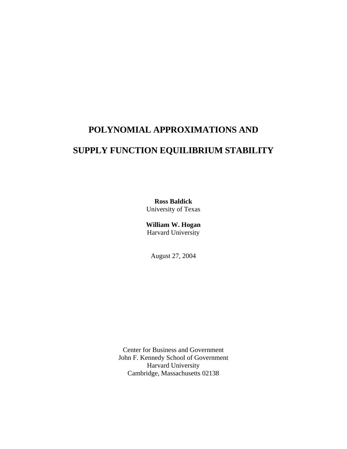# **POLYNOMIAL APPROXIMATIONS AND**

# **SUPPLY FUNCTION EQUILIBRIUM STABILITY**

**Ross Baldick**  University of Texas

**William W. Hogan**  Harvard University

August 27, 2004

Center for Business and Government John F. Kennedy School of Government Harvard University Cambridge, Massachusetts 02138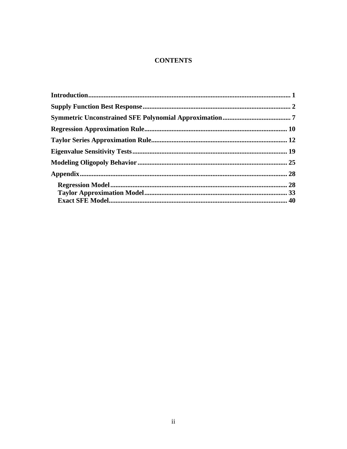## **CONTENTS**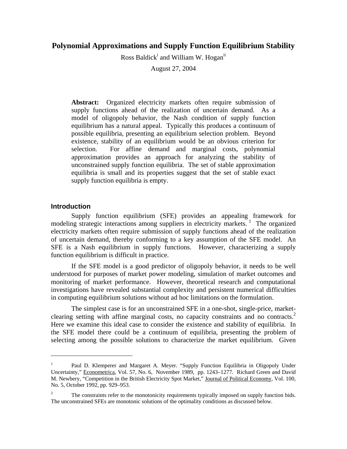## **Polynomial Approximations and Supply Function Equilibrium Stability**

Ross Baldick<sup>i</sup> and William W. Hogan<sup>ii</sup>

August 27, 2004

**Abstract:** Organized electricity markets often require submission of supply functions ahead of the realization of uncertain demand. As a model of oligopoly behavior, the Nash condition of supply function equilibrium has a natural appeal. Typically this produces a continuum of possible equilibria, presenting an equilibrium selection problem. Beyond existence, stability of an equilibrium would be an obvious criterion for selection. For affine demand and marginal costs, polynomial approximation provides an approach for analyzing the stability of unconstrained supply function equilibria. The set of stable approximation equilibria is small and its properties suggest that the set of stable exact supply function equilibria is empty.

## **Introduction**

1

 Supply function equilibrium (SFE) provides an appealing framework for modeling strategic interactions among suppliers in electricity markets.<sup>1</sup> The organized electricity markets often require submission of supply functions ahead of the realization of uncertain demand, thereby conforming to a key assumption of the SFE model. An SFE is a Nash equilibrium in supply functions. However, characterizing a supply function equilibrium is difficult in practice.

 If the SFE model is a good predictor of oligopoly behavior, it needs to be well understood for purposes of market power modeling, simulation of market outcomes and monitoring of market performance. However, theoretical research and computational investigations have revealed substantial complexity and persistent numerical difficulties in computing equilibrium solutions without ad hoc limitations on the formulation.

 The simplest case is for an unconstrained SFE in a one-shot, single-price, marketclearing setting with affine marginal costs, no capacity constraints and no contracts.<sup>2</sup> Here we examine this ideal case to consider the existence and stability of equilibria. In the SFE model there could be a continuum of equilibria, presenting the problem of selecting among the possible solutions to characterize the market equilibrium. Given

<sup>1</sup> Paul D. Klemperer and Margaret A. Meyer. "Supply Function Equilibria in Oligopoly Under Uncertainty," Econometrica, Vol. 57, No. 6, November 1989, pp. 1243–1277. Richard Green and David M. Newbery, "Competition in the British Electricity Spot Market," Journal of Political Economy, Vol. 100, No. 5, October 1992, pp. 929–953.

<sup>2</sup> The constraints refer to the monotonicity requirements typically imposed on supply function bids. The unconstrained SFEs are monotonic solutions of the optimality conditions as discussed below.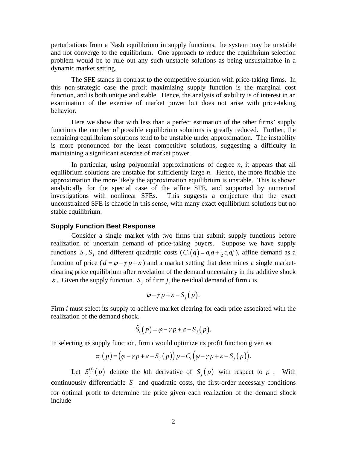perturbations from a Nash equilibrium in supply functions, the system may be unstable and not converge to the equilibrium. One approach to reduce the equilibrium selection problem would be to rule out any such unstable solutions as being unsustainable in a dynamic market setting.

 The SFE stands in contrast to the competitive solution with price-taking firms. In this non-strategic case the profit maximizing supply function is the marginal cost function, and is both unique and stable. Hence, the analysis of stability is of interest in an examination of the exercise of market power but does not arise with price-taking behavior.

Here we show that with less than a perfect estimation of the other firms' supply functions the number of possible equilibrium solutions is greatly reduced. Further, the remaining equilibrium solutions tend to be unstable under approximation. The instability is more pronounced for the least competitive solutions, suggesting a difficulty in maintaining a significant exercise of market power.

 In particular, using polynomial approximations of degree *n*, it appears that all equilibrium solutions are unstable for sufficiently large *n*. Hence, the more flexible the approximation the more likely the approximation equilibrium is unstable. This is shown analytically for the special case of the affine SFE, and supported by numerical investigations with nonlinear SFEs. This suggests a conjecture that the exact unconstrained SFE is chaotic in this sense, with many exact equilibrium solutions but no stable equilibrium.

#### **Supply Function Best Response**

Consider a single market with two firms that submit supply functions before realization of uncertain demand of price-taking buyers. Suppose we have supply functions  $S_i$ ,  $S_j$  and different quadratic costs  $(C_i(q) = a_i q + \frac{1}{2} c_i q_i^2)$ , affine demand as a function of price ( $d = \varphi - \gamma p + \varepsilon$ ) and a market setting that determines a single marketclearing price equilibrium after revelation of the demand uncertainty in the additive shock  $\varepsilon$ . Given the supply function *S*, of firm *j*, the residual demand of firm *i* is

$$
\varphi-\gamma p+\varepsilon-S_{j}(p).
$$

Firm *i* must select its supply to achieve market clearing for each price associated with the realization of the demand shock.

$$
\hat{S}_i(p) = \varphi - \gamma p + \varepsilon - S_j(p).
$$

In selecting its supply function, firm *i* would optimize its profit function given as

$$
\pi_i(p) = (\varphi - \gamma p + \varepsilon - S_j(p)) p - C_i (\varphi - \gamma p + \varepsilon - S_j(p)).
$$

Let  $S_j^{(1)}(p)$  denote the *k*th derivative of  $S_j(p)$  with respect to *p* . With continuously differentiable  $S_i$  and quadratic costs, the first-order necessary conditions for optimal profit to determine the price given each realization of the demand shock include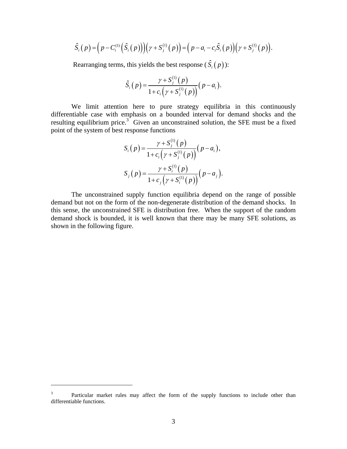$$
\hat{S}_i(p) = (p - C_i^{(1)}(\hat{S}_i(p)))(\gamma + S_j^{(1)}(p)) = (p - a_i - c_i \hat{S}_i(p))(\gamma + S_j^{(1)}(p)).
$$

Rearranging terms, this yields the best response  $(\hat{S}_i(p))$ :

$$
\hat{S}_i(p) = \frac{\gamma + S_j^{(1)}(p)}{1 + c_i(\gamma + S_j^{(1)}(p))}(p - a_i).
$$

 We limit attention here to pure strategy equilibria in this continuously differentiable case with emphasis on a bounded interval for demand shocks and the resulting equilibrium price. $3^{\circ}$  Given an unconstrained solution, the SFE must be a fixed point of the system of best response functions

$$
S_i(p) = \frac{\gamma + S_j^{(1)}(p)}{1 + c_i(\gamma + S_j^{(1)}(p))}(p - a_i),
$$
  

$$
S_j(p) = \frac{\gamma + S_i^{(1)}(p)}{1 + c_j(\gamma + S_i^{(1)}(p))}(p - a_j).
$$

 The unconstrained supply function equilibria depend on the range of possible demand but not on the form of the non-degenerate distribution of the demand shocks. In this sense, the unconstrained SFE is distribution free. When the support of the random demand shock is bounded, it is well known that there may be many SFE solutions, as shown in the following figure.

<sup>3</sup> Particular market rules may affect the form of the supply functions to include other than differentiable functions.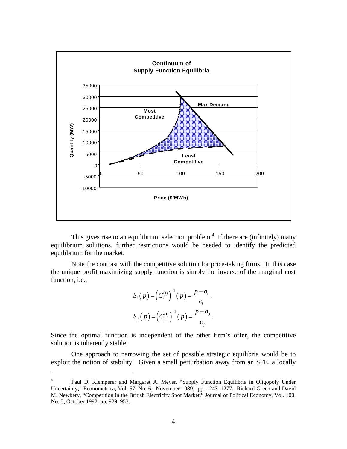

This gives rise to an equilibrium selection problem.<sup>4</sup> If there are (infinitely) many equilibrium solutions, further restrictions would be needed to identify the predicted equilibrium for the market.

 Note the contrast with the competitive solution for price-taking firms. In this case the unique profit maximizing supply function is simply the inverse of the marginal cost function, i.e.,

$$
S_i(p) = (C_i^{(1)})^{-1}(p) = \frac{p - a_i}{c_i},
$$
  
\n
$$
S_j(p) = (C_j^{(1)})^{-1}(p) = \frac{p - a_j}{c_j}.
$$

Since the optimal function is independent of the other firm's offer, the competitive solution is inherently stable.

One approach to narrowing the set of possible strategic equilibria would be to exploit the notion of stability. Given a small perturbation away from an SFE, a locally

<sup>4</sup> Paul D. Klemperer and Margaret A. Meyer. "Supply Function Equilibria in Oligopoly Under Uncertainty," Econometrica, Vol. 57, No. 6, November 1989, pp. 1243–1277. Richard Green and David M. Newbery, "Competition in the British Electricity Spot Market," Journal of Political Economy, Vol. 100, No. 5, October 1992, pp. 929–953.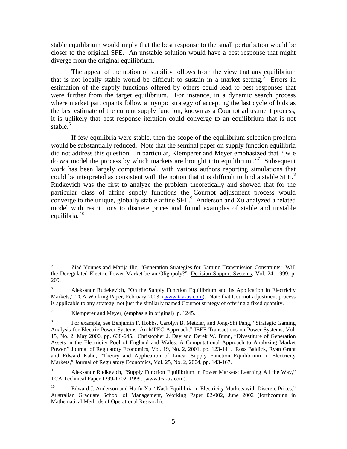stable equilibrium would imply that the best response to the small perturbation would be closer to the original SFE. An unstable solution would have a best response that might diverge from the original equilibrium.

The appeal of the notion of stability follows from the view that any equilibrium that is not locally stable would be difficult to sustain in a market setting.<sup>5</sup> Errors in estimation of the supply functions offered by others could lead to best responses that were further from the target equilibrium. For instance, in a dynamic search process where market participants follow a myopic strategy of accepting the last cycle of bids as the best estimate of the current supply function, known as a Cournot adjustment process, it is unlikely that best response iteration could converge to an equilibrium that is not stable.<sup>6</sup>

If few equilibria were stable, then the scope of the equilibrium selection problem would be substantially reduced. Note that the seminal paper on supply function equilibria did not address this question. In particular, Klemperer and Meyer emphasized that "[w]e do *not* model the process by which markets are brought into equilibrium."<sup>7</sup> Subsequent work has been largely computational, with various authors reporting simulations that could be interpreted as consistent with the notion that it is difficult to find a stable SFE.<sup>8</sup> Rudkevich was the first to analyze the problem theoretically and showed that for the particular class of affine supply functions the Cournot adjustment process would converge to the unique, globally stable affine  $SFE$ <sup>9</sup> Anderson and Xu analyzed a related model with restrictions to discrete prices and found examples of stable and unstable equilibria.<sup>10</sup>

1

<sup>5</sup> Ziad Younes and Marija Ilic, "Generation Strategies for Gaming Transmission Constraints: Will the Deregulated Electric Power Market be an Oligopoly?", Decision Support Systems, Vol. 24, 1999, p. 209.

<sup>6</sup> Aleksandr Rudekevich, "On the Supply Function Equilibrium and its Application in Electricity Markets," TCA Working Paper, February 2003, (www.tca-us.com). Note that Cournot adjustment process is applicable to any strategy, not just the similarly named Cournot strategy of offering a fixed quantity.

<sup>7</sup> Klemperer and Meyer, (emphasis in original) p. 1245.

<sup>8</sup> For example, see Benjamin F. Hobbs, Carolyn B. Metzler, and Jong-Shi Pang, "Strategic Gaming Analysis for Electric Power Systems: An MPEC Approach," IEEE Transactions on Power Systems, Vol. 15, No. 2, May 2000, pp. 638-645. Christopher J. Day and Derek W. Bunn, "Divestiture of Generation Assets in the Electricity Pool of England and Wales: A Computational Approach to Analyzing Market Power," Journal of Regulatory Economics, Vol. 19, No. 2, 2001, pp. 123-141. Ross Baldick, Ryan Grant and Edward Kahn, "Theory and Application of Linear Supply Function Equilibrium in Electricity Markets," Journal of Regulatory Economics, Vol. 25, No. 2, 2004, pp. 143-167.

<sup>9</sup> Aleksandr Rudkevich, "Supply Function Equilibrium in Power Markets: Learning All the Way," TCA Technical Paper 1299-1702, 1999, (www.tca-us.com).

<sup>&</sup>lt;sup>10</sup> Edward J. Anderson and Huifu Xu, "Nash Equilibria in Electricity Markets with Discrete Prices," Australian Graduate School of Management, Working Paper 02-002, June 2002 (forthcoming in Mathematical Methods of Operational Research).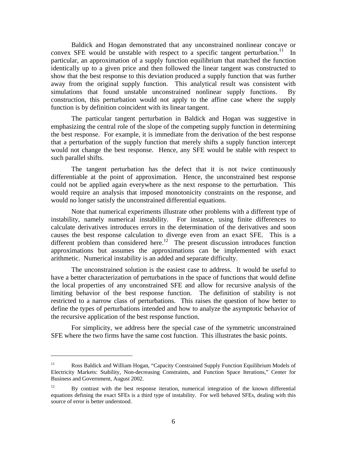Baldick and Hogan demonstrated that any unconstrained nonlinear concave or convex SFE would be unstable with respect to a specific tangent perturbation.<sup>11</sup> In particular, an approximation of a supply function equilibrium that matched the function identically up to a given price and then followed the linear tangent was constructed to show that the best response to this deviation produced a supply function that was further away from the original supply function. This analytical result was consistent with simulations that found unstable unconstrained nonlinear supply functions. By construction, this perturbation would not apply to the affine case where the supply function is by definition coincident with its linear tangent.

The particular tangent perturbation in Baldick and Hogan was suggestive in emphasizing the central role of the slope of the competing supply function in determining the best response. For example, it is immediate from the derivation of the best response that a perturbation of the supply function that merely shifts a supply function intercept would not change the best response. Hence, any SFE would be stable with respect to such parallel shifts.

The tangent perturbation has the defect that it is not twice continuously differentiable at the point of approximation. Hence, the unconstrained best response could not be applied again everywhere as the next response to the perturbation. This would require an analysis that imposed monotonicity constraints on the response, and would no longer satisfy the unconstrained differential equations.

Note that numerical experiments illustrate other problems with a different type of instability, namely numerical instability. For instance, using finite differences to calculate derivatives introduces errors in the determination of the derivatives and soon causes the best response calculation to diverge even from an exact SFE. This is a different problem than considered here.<sup>12</sup> The present discussion introduces function approximations but assumes the approximations can be implemented with exact arithmetic. Numerical instability is an added and separate difficulty.

The unconstrained solution is the easiest case to address. It would be useful to have a better characterization of perturbations in the space of functions that would define the local properties of any unconstrained SFE and allow for recursive analysis of the limiting behavior of the best response function. The definition of stability is not restricted to a narrow class of perturbations. This raises the question of how better to define the types of perturbations intended and how to analyze the asymptotic behavior of the recursive application of the best response function.

For simplicity, we address here the special case of the symmetric unconstrained SFE where the two firms have the same cost function. This illustrates the basic points.

<sup>&</sup>lt;sup>11</sup> Ross Baldick and William Hogan, "Capacity Constrained Supply Function Equilibrium Models of Electricity Markets: Stability, Non-decreasing Constraints, and Function Space Iterations," Center for Business and Government, August 2002.

<sup>&</sup>lt;sup>12</sup> By contrast with the best response iteration, numerical integration of the known differential equations defining the exact SFEs is a third type of instability. For well behaved SFEs, dealing with this source of error is better understood.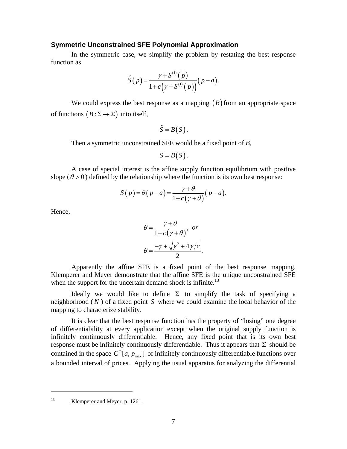#### **Symmetric Unconstrained SFE Polynomial Approximation**

In the symmetric case, we simplify the problem by restating the best response function as

$$
\hat{S}(p) = \frac{\gamma + S^{(1)}(p)}{1 + c(\gamma + S^{(1)}(p))}(p - a).
$$

We could express the best response as a mapping  $(B)$  from an appropriate space of functions  $(B : \Sigma \to \Sigma)$  into itself,

$$
\hat{S}=B(S).
$$

Then a symmetric unconstrained SFE would be a fixed point of *B*,

$$
S=B(S).
$$

 A case of special interest is the affine supply function equilibrium with positive slope ( $\theta$  > 0) defined by the relationship where the function is its own best response:

$$
S(p) = \theta(p-a) = \frac{\gamma + \theta}{1 + c(\gamma + \theta)}(p-a).
$$

Hence,

$$
\theta = \frac{\gamma + \theta}{1 + c(\gamma + \theta)}, \text{ or}
$$

$$
\theta = \frac{-\gamma + \sqrt{\gamma^2 + 4\gamma/c}}{2}.
$$

 Apparently the affine SFE is a fixed point of the best response mapping. Klemperer and Meyer demonstrate that the affine SFE is the unique unconstrained SFE when the support for the uncertain demand shock is infinite.<sup>13</sup>

Ideally we would like to define  $\Sigma$  to simplify the task of specifying a neighborhood ( *N* ) of a fixed point *S* where we could examine the local behavior of the mapping to characterize stability.

 It is clear that the best response function has the property of "losing" one degree of differentiability at every application except when the original supply function is infinitely continuously differentiable. Hence, any fixed point that is its own best response must be infinitely continuously differentiable. Thus it appears that  $\Sigma$  should be contained in the space  $C^{\infty}[a, p_{\text{max}}]$  of infinitely continuously differentiable functions over a bounded interval of prices. Applying the usual apparatus for analyzing the differential

13 Klemperer and Meyer, p. 1261.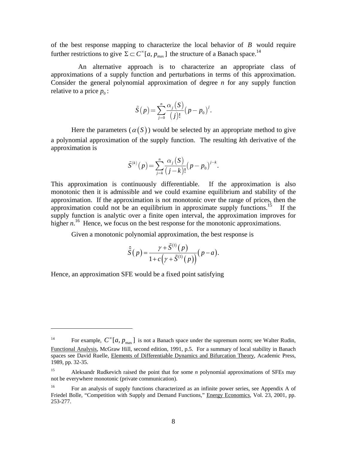of the best response mapping to characterize the local behavior of *B* would require further restrictions to give  $\Sigma \subset C^{\infty}[a, p_{\max}]$  the structure of a Banach space.<sup>14</sup>

 An alternative approach is to characterize an appropriate class of approximations of a supply function and perturbations in terms of this approximation. Consider the general polynomial approximation of degree *n* for any supply function relative to a price  $p_0$ :

$$
\tilde{S}(p) = \sum_{j=0}^{n} \frac{\alpha_j (S)}{(j)!} (p - p_0)^j.
$$

Here the parameters  $(\alpha(S))$  would be selected by an appropriate method to give a polynomial approximation of the supply function. The resulting *k*th derivative of the approximation is

$$
\tilde{S}^{(k)}(p) = \sum_{j=k}^{n} \frac{\alpha_j(S)}{(j-k)!} (p - p_0)^{j-k}.
$$

This approximation is continuously differentiable. If the approximation is also monotonic then it is admissible and we could examine equilibrium and stability of the approximation. If the approximation is not monotonic over the range of prices, then the approximation could not be an equilibrium in approximate supply functions.<sup>15</sup> If the supply function is analytic over a finite open interval, the approximation improves for higher *n*<sup>16</sup> Hence, we focus on the best response for the monotonic approximations.

Given a monotonic polynomial approximation, the best response is

$$
\hat{\tilde{S}}(p) = \frac{\gamma + \tilde{S}^{(1)}(p)}{1 + c(\gamma + \tilde{S}^{(1)}(p))}(p - a).
$$

Hence, an approximation SFE would be a fixed point satisfying

<sup>&</sup>lt;sup>14</sup> For example,  $C^{\infty}[a, p_{\text{max}}]$  is not a Banach space under the supremum norm; see Walter Rudin, Functional Analysis, McGraw Hill, second edition, 1991, p.5. For a summary of local stability in Banach spaces see David Ruelle, Elements of Differentiable Dynamics and Bifurcation Theory, Academic Press, 1989, pp. 32-35.

<sup>15</sup> Aleksandr Rudkevich raised the point that for some *n* polynomial approximations of SFEs may not be everywhere monotonic (private communication).

<sup>&</sup>lt;sup>16</sup> For an analysis of supply functions characterized as an infinite power series, see Appendix A of Friedel Bolle, "Competition with Supply and Demand Functions," Energy Economics, Vol. 23, 2001, pp. 253-277.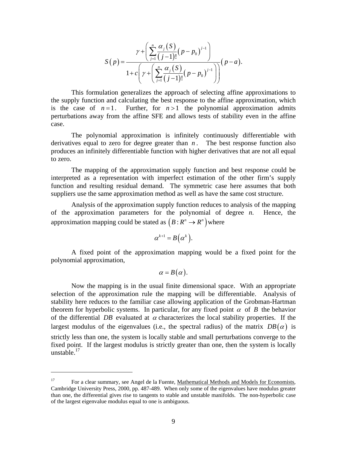$$
S(p) = \frac{\gamma + \left(\sum_{j=1}^{n} \frac{\alpha_j(S)}{(j-1)!} (p - p_0)^{j-1}\right)}{1 + c \left(\gamma + \left(\sum_{j=1}^{n} \frac{\alpha_j(S)}{(j-1)!} (p - p_0)^{j-1}\right)\right)} (p - a).
$$

 This formulation generalizes the approach of selecting affine approximations to the supply function and calculating the best response to the affine approximation, which is the case of  $n=1$ . Further, for  $n>1$  the polynomial approximation admits perturbations away from the affine SFE and allows tests of stability even in the affine case.

 The polynomial approximation is infinitely continuously differentiable with derivatives equal to zero for degree greater than  $n$ . The best response function also produces an infinitely differentiable function with higher derivatives that are not all equal to zero.

The mapping of the approximation supply function and best response could be interpreted as a representation with imperfect estimation of the other firm's supply function and resulting residual demand. The symmetric case here assumes that both suppliers use the same approximation method as well as have the same cost structure.

Analysis of the approximation supply function reduces to analysis of the mapping of the approximation parameters for the polynomial of degree *n*. Hence, the approximation mapping could be stated as  $(B : R^n \to R^n)$  where

$$
\alpha^{k+1}=B(\alpha^k).
$$

A fixed point of the approximation mapping would be a fixed point for the polynomial approximation,

$$
\alpha=B(\alpha).
$$

 Now the mapping is in the usual finite dimensional space. With an appropriate selection of the approximation rule the mapping will be differentiable. Analysis of stability here reduces to the familiar case allowing application of the Grobman-Hartman theorem for hyperbolic systems. In particular, for any fixed point  $\alpha$  of *B* the behavior of the differential *DB* evaluated at  $\alpha$  characterizes the local stability properties. If the largest modulus of the eigenvalues (i.e., the spectral radius) of the matrix  $DB(\alpha)$  is strictly less than one, the system is locally stable and small perturbations converge to the fixed point. If the largest modulus is strictly greater than one, then the system is locally unstable. $17$ 

<sup>&</sup>lt;sup>17</sup> For a clear summary, see Angel de la Fuente, Mathematical Methods and Models for Economists, Cambridge University Press, 2000, pp. 487-489. When only some of the eigenvalues have modulus greater than one, the differential gives rise to tangents to stable and unstable manifolds. The non-hyperbolic case of the largest eigenvalue modulus equal to one is ambiguous.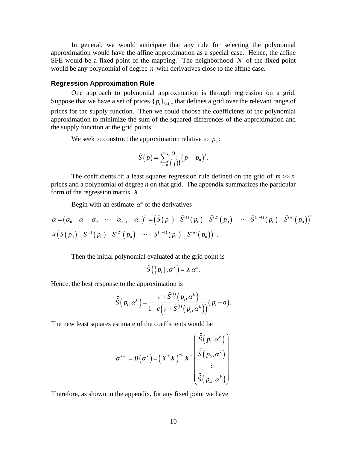In general, we would anticipate that any rule for selecting the polynomial approximation would have the affine approximation as a special case. Hence, the affine SFE would be a fixed point of the mapping. The neighborhood *N* of the fixed point would be any polynomial of degree *n* with derivatives close to the affine case.

### **Regression Approximation Rule**

 One approach to polynomial approximation is through regression on a grid. Suppose that we have a set of prices  $\{p_i\}_{i=1,m}$  that defines a grid over the relevant range of prices for the supply function. Then we could choose the coefficients of the polynomial approximation to minimize the sum of the squared differences of the approximation and the supply function at the grid points.

We seek to construct the approximation relative to  $p_0$ :

$$
\tilde{S}(p) = \sum_{j=0}^{n} \frac{\alpha_j}{(j)!} (p - p_0)^j.
$$

The coefficients fit a least squares regression rule defined on the grid of  $m \gg n$ prices and a polynomial of degree *n* on that grid. The appendix summarizes the particular form of the regression matrix *X* .

Begin with an estimate  $\alpha^k$  of the derivatives

$$
\alpha = (\alpha_0 \quad \alpha_1 \quad \alpha_2 \quad \cdots \quad \alpha_{n-1} \quad \alpha_n)^T = (\tilde{S}(p_0) \quad \tilde{S}^{(1)}(p_0) \quad \tilde{S}^{(2)}(p_0) \quad \cdots \quad \tilde{S}^{(n-1)}(p_0) \quad \tilde{S}^{(n)}(p_0))^T
$$
  

$$
\approx (S(p_0) \quad S^{(1)}(p_0) \quad S^{(2)}(p_0) \quad \cdots \quad S^{(n-1)}(p_0) \quad S^{(n)}(p_0))^T.
$$

Then the initial polynomial evaluated at the grid point is

$$
\tilde{S}(\{p_i\},\alpha^k)=X\alpha^k.
$$

Hence, the best response to the approximation is

$$
\hat{\tilde{S}}\left(p_i,\alpha^k\right) = \frac{\gamma + \tilde{S}^{(1)}\left(p_i,\alpha^k\right)}{1 + c\left(\gamma + \tilde{S}^{(1)}\left(p_i,\alpha^k\right)\right)}\left(p_i - a\right).
$$

The new least squares estimate of the coefficients would be

$$
\boldsymbol{\alpha}^{k+1} = \boldsymbol{B}\left(\boldsymbol{\alpha}^{k}\right) = \left(\boldsymbol{X}^{T}\boldsymbol{X}\right)^{-1}\boldsymbol{X}^{T} \begin{bmatrix} \hat{\tilde{S}}\left(p_{1}, \boldsymbol{\alpha}^{k}\right) \\ \hat{\tilde{S}}\left(p_{2}, \boldsymbol{\alpha}^{k}\right) \\ \vdots \\ \hat{\tilde{S}}\left(p_{m}, \boldsymbol{\alpha}^{k}\right) \end{bmatrix}.
$$

Therefore, as shown in the appendix, for any fixed point we have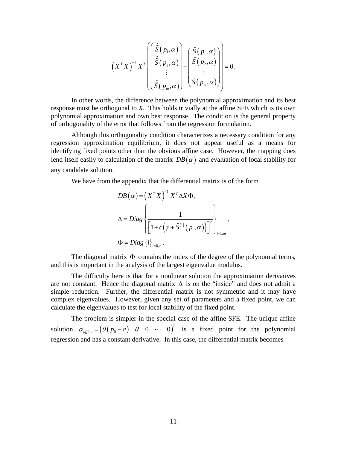$$
(X^TX)^{-1} X^T \left( \begin{bmatrix} \hat{\tilde{S}}(p_1, \alpha) \\ \hat{\tilde{S}}(p_2, \alpha) \\ \vdots \\ \hat{\tilde{S}}(p_m, \alpha) \end{bmatrix} - \begin{bmatrix} \tilde{S}(p_1, \alpha) \\ \tilde{S}(p_2, \alpha) \\ \vdots \\ \tilde{S}(p_m, \alpha) \end{bmatrix} \right) = 0.
$$

In other words, the difference between the polynomial approximation and its best response must be orthogonal to *X*. This holds trivially at the affine SFE which is its own polynomial approximation and own best response. The condition is the general property of orthogonality of the error that follows from the regression formulation.

Although this orthogonality condition characterizes a necessary condition for any regression approximation equilibrium, it does not appear useful as a means for identifying fixed points other than the obvious affine case. However, the mapping does lend itself easily to calculation of the matrix  $DB(\alpha)$  and evaluation of local stability for any candidate solution.

We have from the appendix that the differential matrix is of the form

$$
DB(\alpha) = (X^T X)^{-1} X^T \Delta X \Phi,
$$
  
\n
$$
\Delta = Diag \left\{ \frac{1}{\left[1 + c\left(\gamma + \tilde{S}^{(1)}(p_i, \alpha)\right)\right]^2} \right\}_{i=1,m},
$$
  
\n
$$
\Phi = Diag \left\{ i \right\}_{i=0,n}.
$$

The diagonal matrix  $\Phi$  contains the index of the degree of the polynomial terms, and this is important in the analysis of the largest eigenvalue modulus.

The difficulty here is that for a nonlinear solution the approximation derivatives are not constant. Hence the diagonal matrix  $\Delta$  is on the "inside" and does not admit a simple reduction. Further, the differential matrix is not symmetric and it may have complex eigenvalues. However, given any set of parameters and a fixed point, we can calculate the eigenvalues to test for local stability of the fixed point.

The problem is simpler in the special case of the affine SFE. The unique affine solution  $\alpha_{\text{affine}} = (\theta ( p_0 - a) \quad \theta \quad 0 \quad \cdots \quad 0)^T$  is a fixed point for the polynomial regression and has a constant derivative. In this case, the differential matrix becomes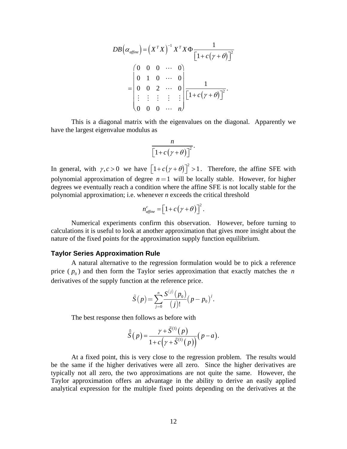$$
DB(\alpha_{\text{affine}}) = (X^T X)^{-1} X^T X \Phi \frac{1}{\left[1 + c(\gamma + \theta)\right]^2}
$$
  
= 
$$
\begin{pmatrix} 0 & 0 & 0 & \cdots & 0 \\ 0 & 1 & 0 & \cdots & 0 \\ 0 & 0 & 2 & \cdots & 0 \\ \vdots & \vdots & \vdots & \vdots & \vdots \\ 0 & 0 & 0 & \cdots & n \end{pmatrix} \frac{1}{\left[1 + c(\gamma + \theta)\right]^2}.
$$

 This is a diagonal matrix with the eigenvalues on the diagonal. Apparently we have the largest eigenvalue modulus as

$$
\frac{n}{\left[1+c(\gamma+\theta)\right]^2}.
$$

In general, with  $\gamma, c > 0$  we have  $\left[1 + c(\gamma + \theta)\right]^2 > 1$ . Therefore, the affine SFE with polynomial approximation of degree  $n=1$  will be locally stable. However, for higher degrees we eventually reach a condition where the affine SFE is not locally stable for the polynomial approximation; i.e. whenever *n* exceeds the critical threshold

$$
n_{\text{affine}}^c = \left[1 + c\left(\gamma + \theta\right)\right]^2.
$$

 Numerical experiments confirm this observation. However, before turning to calculations it is useful to look at another approximation that gives more insight about the nature of the fixed points for the approximation supply function equilibrium.

#### **Taylor Series Approximation Rule**

 A natural alternative to the regression formulation would be to pick a reference price  $(p_0)$  and then form the Taylor series approximation that exactly matches the *n* derivatives of the supply function at the reference price.

$$
\tilde{S}(p) = \sum_{j=0}^{n} \frac{S^{(j)}(p_0)}{(j)!} (p - p_0)^j.
$$

The best response then follows as before with

$$
\hat{\tilde{S}}(p) = \frac{\gamma + \tilde{S}^{(1)}(p)}{1 + c(\gamma + \tilde{S}^{(1)}(p))}(p - a).
$$

 At a fixed point, this is very close to the regression problem. The results would be the same if the higher derivatives were all zero. Since the higher derivatives are typically not all zero, the two approximations are not quite the same. However, the Taylor approximation offers an advantage in the ability to derive an easily applied analytical expression for the multiple fixed points depending on the derivatives at the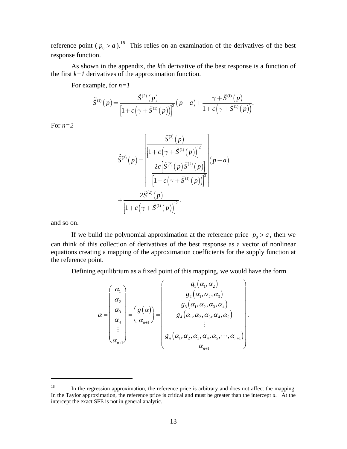reference point ( $p_0 > a$ ).<sup>18</sup> This relies on an examination of the derivatives of the best response function.

As shown in the appendix, the *k*th derivative of the best response is a function of the first  $k+1$  derivatives of the approximation function.

For example, for *n=1*

$$
\hat{S}^{(1)}(p) = \frac{\tilde{S}^{(2)}(p)}{\left[1 + c(\gamma + \tilde{S}^{(1)}(p))\right]^2} (p - a) + \frac{\gamma + \tilde{S}^{(1)}(p)}{1 + c(\gamma + \tilde{S}^{(1)}(p))}.
$$

For  $n=2$ 

$$
\hat{S}^{(2)}(p) = \frac{\left| \frac{\tilde{S}^{(3)}(p)}{\left[1 + c(\gamma + \tilde{S}^{(1)}(p))\right]^2} \right|}{\left[-\frac{2c\left[\tilde{S}^{(2)}(p) \tilde{S}^{(2)}(p)\right]}{\left[1 + c(\gamma + \tilde{S}^{(1)}(p))\right]^3}\right|} (p-a)
$$
\n
$$
+ \frac{2\tilde{S}^{(2)}(p)}{\left[1 + c(\gamma + \tilde{S}^{(1)}(p))\right]^2}.
$$

and so on.

1

If we build the polynomial approximation at the reference price  $p_0 > a$ , then we can think of this collection of derivatives of the best response as a vector of nonlinear equations creating a mapping of the approximation coefficients for the supply function at the reference point.

Defining equilibrium as a fixed point of this mapping, we would have the form

$$
\alpha = \begin{pmatrix} \alpha_1 \\ \alpha_2 \\ \alpha_3 \\ \alpha_4 \\ \vdots \\ \alpha_{n+1} \end{pmatrix} = \begin{pmatrix} g(\alpha) \\ g_2(\alpha_1, \alpha_2, \alpha_3) \\ g_3(\alpha_1, \alpha_2, \alpha_3, \alpha_4) \\ g_4(\alpha_1, \alpha_2, \alpha_3, \alpha_4, \alpha_5) \\ \vdots \\ g_n(\alpha_1, \alpha_2, \alpha_3, \alpha_4, \alpha_5, \cdots, \alpha_{n+1}) \\ \alpha_{n+1} \end{pmatrix}.
$$

<sup>&</sup>lt;sup>18</sup> In the regression approximation, the reference price is arbitrary and does not affect the mapping. In the Taylor approximation, the reference price is critical and must be greater than the intercept *a.* At the intercept the exact SFE is not in general analytic.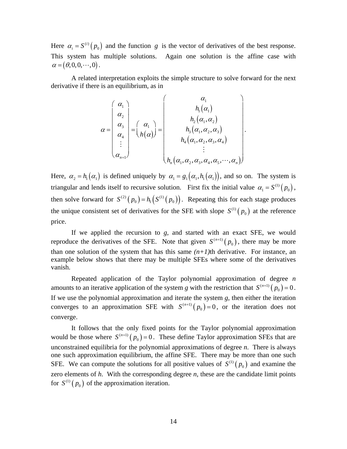Here  $\alpha_i = S^{(i)}(p_0)$  $\alpha_i = S^{(i)}(p_0)$  and the function *g* is the vector of derivatives of the best response. This system has multiple solutions. Again one solution is the affine case with  $\alpha = (\theta, 0, 0, \cdots, 0)$ .

A related interpretation exploits the simple structure to solve forward for the next derivative if there is an equilibrium, as in

$$
\alpha = \begin{pmatrix} \alpha_1 \\ \alpha_2 \\ \alpha_3 \\ \alpha_4 \\ \vdots \\ \alpha_{n+1} \end{pmatrix} = \begin{pmatrix} \alpha_1 \\ h_1(\alpha_1) \\ h_2(\alpha_1, \alpha_2) \\ h_3(\alpha_1, \alpha_2, \alpha_3) \\ h_4(\alpha_1, \alpha_2, \alpha_3, \alpha_4) \\ \vdots \\ h_n(\alpha_1, \alpha_2, \alpha_3, \alpha_4, \alpha_5, \cdots, \alpha_n) \end{pmatrix}.
$$

Here,  $\alpha_2 = h_1(\alpha_1)$  is defined uniquely by  $\alpha_1 = g_1(\alpha_1, h_1(\alpha_1))$ , and so on. The system is triangular and lends itself to recursive solution. First fix the initial value  $\alpha_1 = S^{(1)}(p_0)$ , then solve forward for  $S^{(2)}(p_0) = h_1(S^{(1)}(p_0))$ . Repeating this for each stage produces the unique consistent set of derivatives for the SFE with slope  $S^{(1)}(p_0)$  at the reference price.

If we applied the recursion to *g*, and started with an exact SFE, we would reproduce the derivatives of the SFE. Note that given  $S^{(n+1)}(p_0)$ , there may be more than one solution of the system that has this same  $(n+1)$ th derivative. For instance, an example below shows that there may be multiple SFEs where some of the derivatives vanish.

Repeated application of the Taylor polynomial approximation of degree *n* amounts to an iterative application of the system *g* with the restriction that  $S^{(n+1)}(p_0) = 0$ . If we use the polynomial approximation and iterate the system *g*, then either the iteration converges to an approximation SFE with  $S^{(n+1)}(p_0) = 0$ , or the iteration does not converge.

It follows that the only fixed points for the Taylor polynomial approximation would be those where  $S^{(n+1)}(p_0) = 0$ . These define Taylor approximation SFEs that are unconstrained equilibria for the polynomial approximations of degree *n*. There is always one such approximation equilibrium, the affine SFE. There may be more than one such SFE. We can compute the solutions for all positive values of  $S^{(1)}(p_0)$  and examine the zero elements of *h*. With the corresponding degree *n*, these are the candidate limit points for  $S^{(1)}(p_0)$  of the approximation iteration.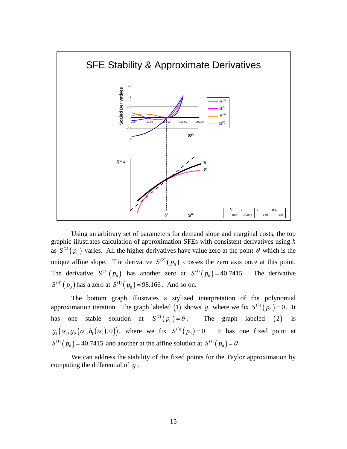

 Using an arbitrary set of parameters for demand slope and marginal costs, the top graphic illustrates calculation of approximation SFEs with consistent derivatives using *h* as  $S^{(1)}(p_0)$  varies. All the higher derivatives have value zero at the point  $\theta$  which is the unique affine slope. The derivative  $S^{(2)}(p_0)$  crosses the zero axis once at this point. The derivative  $S^{(3)}(p_0)$  has another zero at  $S^{(1)}(p_0) = 40.7415$ . The derivative  $S^{(4)}(p_0)$  has a zero at  $S^{(1)}(p_0) = 98.166$ . And so on.

 The bottom graph illustrates a stylized interpretation of the polynomial approximation iteration. The graph labeled (1) shows  $g_1$  where we fix  $S^{(2)}(p_0) = 0$ . It has one stable solution at  $S^{(1)}(p_0) = \theta$ . The graph labeled (2) is  $g_1(\alpha_1, g_2(\alpha_1, h_1(\alpha_1), 0))$ , where we fix  $S^{(3)}(p_0) = 0$ . It has one fixed point at  $S^{(1)}(p_0) = 40.7415$  and another at the affine solution at  $S^{(1)}(p_0) = \theta$ .

We can address the stability of the fixed points for the Taylor approximation by computing the differential of *g* .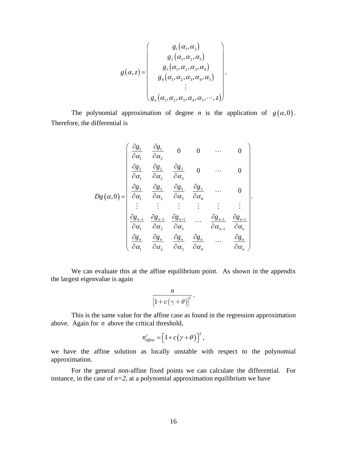$$
g(\alpha, z) = \begin{pmatrix} g_1(\alpha_1, \alpha_2) \\ g_2(\alpha_1, \alpha_2, \alpha_3) \\ g_3(\alpha_1, \alpha_2, \alpha_3, \alpha_4) \\ g_4(\alpha_1, \alpha_2, \alpha_3, \alpha_4, \alpha_5) \\ \vdots \\ g_n(\alpha_1, \alpha_2, \alpha_3, \alpha_4, \alpha_5, \cdots, z) \end{pmatrix}.
$$

The polynomial approximation of degree *n* is the application of  $g(\alpha,0)$ . Therefore, the differential is

$$
Dg(\alpha,0) = \begin{pmatrix} \frac{\partial g_1}{\partial \alpha_1} & \frac{\partial g_1}{\partial \alpha_2} & 0 & 0 & \cdots & 0 \\ \frac{\partial g_2}{\partial \alpha_1} & \frac{\partial g_2}{\partial \alpha_2} & \frac{\partial g_2}{\partial \alpha_3} & 0 & \cdots & 0 \\ \frac{\partial g_3}{\partial \alpha_1} & \frac{\partial g_3}{\partial \alpha_2} & \frac{\partial g_3}{\partial \alpha_3} & \frac{\partial g_3}{\partial \alpha_4} & \cdots & 0 \\ \vdots & \vdots & \vdots & \vdots & \vdots & \vdots \\ \frac{\partial g_{n-1}}{\partial \alpha_1} & \frac{\partial g_{n-1}}{\partial \alpha_2} & \frac{\partial g_{n-1}}{\partial \alpha_3} & \cdots & \frac{\partial g_{n-1}}{\partial \alpha_{n-1}} & \frac{\partial g_{n-1}}{\partial \alpha_n} \\ \frac{\partial g_n}{\partial \alpha_1} & \frac{\partial g_n}{\partial \alpha_2} & \frac{\partial g_n}{\partial \alpha_3} & \frac{\partial g_n}{\partial \alpha_4} & \cdots & \frac{\partial g_n}{\partial \alpha_n} \end{pmatrix}.
$$

We can evaluate this at the affine equilibrium point. As shown in the appendix the largest eigenvalue is again

$$
\frac{n}{\left[1+c\left(\gamma+\theta\right)\right]^2}.
$$

 This is the same value for the affine case as found in the regression approximation above. Again for *n* above the critical threshold,

$$
n_{\text{affine}}^c = \left[1 + c\left(\gamma + \theta\right)\right]^2,
$$

we have the affine solution as locally unstable with respect to the polynomial approximation.

 For the general non-affine fixed points we can calculate the differential. For instance, in the case of  $n=2$ , at a polynomial approximation equilibrium we have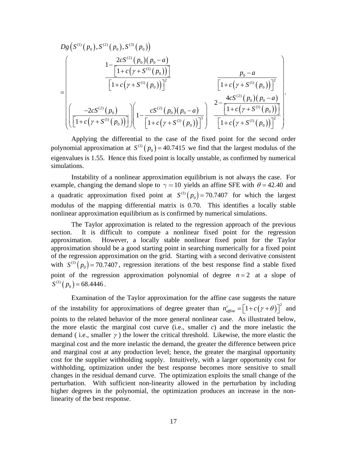$$
D_{g}\left(S^{(1)}(p_{0}), S^{(2)}(p_{0}), S^{(3)}(p_{0})\right)
$$
\n
$$
= \left[\begin{array}{c}\n1 - \frac{2cS^{(2)}(p_{0})(p_{0} - a)}{\left[1 + c(\gamma + S^{(1)}(p_{0}))\right]}\n\end{array}\right.\n\left.\begin{array}{c}\np_{0} - a \\
\hline\n\left[1 + c(\gamma + S^{(1)}(p_{0}))\right]\n\end{array}\right]^{2}\n\left.\begin{array}{c}\np_{0} - a \\
\hline\n\left[1 + c(\gamma + S^{(1)}(p_{0}))\right]^{2}\n\end{array}\right].
$$
\n
$$
= \left[\begin{array}{c}\n-2cS^{(2)}(p_{0})\n\left[\frac{-2cS^{(2)}(p_{0})}{\left[1 + c(\gamma + S^{(1)}(p_{0}))\right]}\right]^{2}\n\end{array}\right].
$$

Applying the differential to the case of the fixed point for the second order polynomial approximation at  $S^{(1)}(p_0) = 40.7415$  we find that the largest modulus of the eigenvalues is 1.55. Hence this fixed point is locally unstable, as confirmed by numerical simulations.

Instability of a nonlinear approximation equilibrium is not always the case. For example, changing the demand slope to  $\gamma = 10$  yields an affine SFE with  $\theta = 42.40$  and a quadratic approximation fixed point at  $S^{(1)}(p_0) = 70.7407$  for which the largest modulus of the mapping differential matrix is 0.70. This identifies a locally stable nonlinear approximation equilibrium as is confirmed by numerical simulations.

 The Taylor approximation is related to the regression approach of the previous section. It is difficult to compute a nonlinear fixed point for the regression approximation. However, a locally stable nonlinear fixed point for the Taylor approximation should be a good starting point in searching numerically for a fixed point of the regression approximation on the grid. Starting with a second derivative consistent with  $S^{(1)}(p_0) = 70.7407$ , regression iterations of the best response find a stable fixed point of the regression approximation polynomial of degree  $n = 2$  at a slope of  $S^{(1)}(p_{0}) = 68.4446$ .

 Examination of the Taylor approximation for the affine case suggests the nature of the instability for approximations of degree greater than  $n_{\text{affine}}^c = \left[1 + c(\gamma + \theta)\right]^2$  and points to the related behavior of the more general nonlinear case. As illustrated below, the more elastic the marginal cost curve (i.e., smaller *c*) and the more inelastic the demand (i.e., smaller  $\gamma$ ) the lower the critical threshold. Likewise, the more elastic the marginal cost and the more inelastic the demand, the greater the difference between price and marginal cost at any production level; hence, the greater the marginal opportunity cost for the supplier withholding supply. Intuitively, with a larger opportunity cost for withholding, optimization under the best response becomes more sensitive to small changes in the residual demand curve. The optimization exploits the small change of the perturbation. With sufficient non-linearity allowed in the perturbation by including higher degrees in the polynomial, the optimization produces an increase in the nonlinearity of the best response.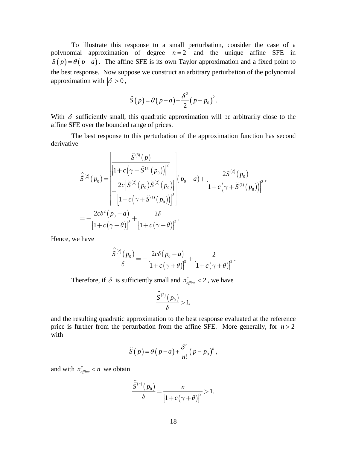To illustrate this response to a small perturbation, consider the case of a polynomial approximation of degree  $n = 2$  and the unique affine SFE in  $S(p) = \theta(p - a)$ . The affine SFE is its own Taylor approximation and a fixed point to the best response. Now suppose we construct an arbitrary perturbation of the polynomial approximation with  $|\delta| > 0$ ,

$$
\breve{S}(p) = \theta(p-a) + \frac{\delta^2}{2}(p-p_0)^2.
$$

With  $\delta$  sufficiently small, this quadratic approximation will be arbitrarily close to the affine SFE over the bounded range of prices.

 The best response to this perturbation of the approximation function has second derivative

$$
\hat{S}^{(2)}(p_0) = \frac{\left| \frac{\breve{S}^{(3)}(p)}{\left[1 + c(\gamma + \breve{S}^{(1)}(p_0))\right]^2} \right|}{\left|\frac{2c\left[\breve{S}^{(2)}(p_0)\breve{S}^{(2)}(p_0)\right]\right|}{\left[1 + c(\gamma + \breve{S}^{(1)}(p_0))\right]^3}}\right| (p_0 - a) + \frac{2\breve{S}^{(2)}(p_0)}{\left[1 + c(\gamma + \breve{S}^{(1)}(p_0))\right]^2},
$$
\n
$$
= -\frac{2c\delta^2(p_0 - a)}{\left[1 + c(\gamma + \theta)\right]^3} + \frac{2\delta}{\left[1 + c(\gamma + \theta)\right]^2}.
$$

Hence, we have

$$
\frac{\hat{S}^{(2)}(p_0)}{\delta} = -\frac{2c\delta(p_0 - a)}{\left[1 + c(\gamma + \theta)\right]^3} + \frac{2}{\left[1 + c(\gamma + \theta)\right]^2}.
$$

Therefore, if  $\delta$  is sufficiently small and  $n_{\text{affine}}^c < 2$ , we have

$$
\frac{\hat{\breve{S}}^{(2)}\left( \, p_{0} \, \right)}{\delta} \! > \! 1,
$$

and the resulting quadratic approximation to the best response evaluated at the reference price is further from the perturbation from the affine SFE. More generally, for  $n > 2$ with

$$
\breve{S}(p) = \theta(p-a) + \frac{\delta^n}{n!} (p-p_0)^n,
$$

and with  $n_{\text{affine}}^c < n$  we obtain

$$
\frac{\hat{S}^{(n)}(p_0)}{\delta} = \frac{n}{\left[1 + c(\gamma + \theta)\right]^2} > 1.
$$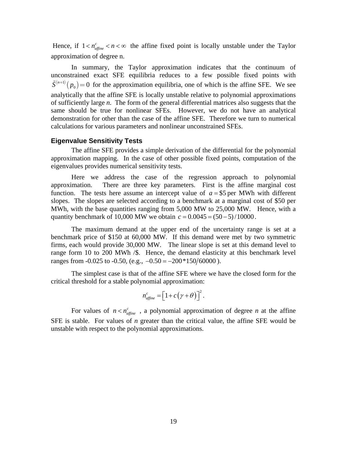Hence, if  $1 < n_{\text{affine}}^c < n < \infty$  the affine fixed point is locally unstable under the Taylor approximation of degree n.

 In summary, the Taylor approximation indicates that the continuum of unconstrained exact SFE equilibria reduces to a few possible fixed points with  $\tilde{S}^{(n+1)}(p_0) = 0$  for the approximation equilibria, one of which is the affine SFE. We see analytically that the affine SFE is locally unstable relative to polynomial approximations of sufficiently large *n*. The form of the general differential matrices also suggests that the same should be true for nonlinear SFEs. However, we do not have an analytical demonstration for other than the case of the affine SFE. Therefore we turn to numerical calculations for various parameters and nonlinear unconstrained SFEs.

#### **Eigenvalue Sensitivity Tests**

 The affine SFE provides a simple derivation of the differential for the polynomial approximation mapping. In the case of other possible fixed points, computation of the eigenvalues provides numerical sensitivity tests.

 Here we address the case of the regression approach to polynomial approximation. There are three key parameters. First is the affine marginal cost function. The tests here assume an intercept value of  $a = $5$  per MWh with different slopes. The slopes are selected according to a benchmark at a marginal cost of \$50 per MWh, with the base quantities ranging from 5,000 MW to 25,000 MW. Hence, with a quantity benchmark of 10,000 MW we obtain  $c = 0.0045 = (50 - 5) / 10000$ .

 The maximum demand at the upper end of the uncertainty range is set at a benchmark price of \$150 at 60,000 MW. If this demand were met by two symmetric firms, each would provide 30,000 MW. The linear slope is set at this demand level to range form 10 to 200 MWh /\$. Hence, the demand elasticity at this benchmark level ranges from  $-0.025$  to  $-0.50$ , (e.g.,  $-0.50 = -200*150/60000$ ).

 The simplest case is that of the affine SFE where we have the closed form for the critical threshold for a stable polynomial approximation:

$$
n_{\text{affine}}^c = \left[1 + c\left(\gamma + \theta\right)\right]^2.
$$

For values of  $n < n_{\text{affine}}^c$ , a polynomial approximation of degree *n* at the affine SFE is stable. For values of *n* greater than the critical value, the affine SFE would be unstable with respect to the polynomial approximations.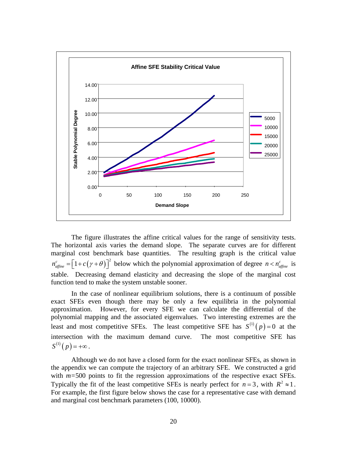

The figure illustrates the affine critical values for the range of sensitivity tests. The horizontal axis varies the demand slope. The separate curves are for different marginal cost benchmark base quantities. The resulting graph is the critical value  $n_{\text{affine}}^c = \left[1 + c(\gamma + \theta)\right]^2$  below which the polynomial approximation of degree  $n < n_{\text{affine}}^c$  is stable. Decreasing demand elasticity and decreasing the slope of the marginal cost function tend to make the system unstable sooner.

 In the case of nonlinear equilibrium solutions, there is a continuum of possible exact SFEs even though there may be only a few equilibria in the polynomial approximation. However, for every SFE we can calculate the differential of the polynomial mapping and the associated eigenvalues. Two interesting extremes are the least and most competitive SFEs. The least competitive SFE has  $S^{(1)}(p) = 0$  at the intersection with the maximum demand curve. The most competitive SFE has  $S^{(1)}(p) = +\infty$ .

 Although we do not have a closed form for the exact nonlinear SFEs, as shown in the appendix we can compute the trajectory of an arbitrary SFE. We constructed a grid with  $m=500$  points to fit the regression approximations of the respective exact SFEs. Typically the fit of the least competitive SFEs is nearly perfect for  $n = 3$ , with  $R^2 \approx 1$ . For example, the first figure below shows the case for a representative case with demand and marginal cost benchmark parameters (100, 10000).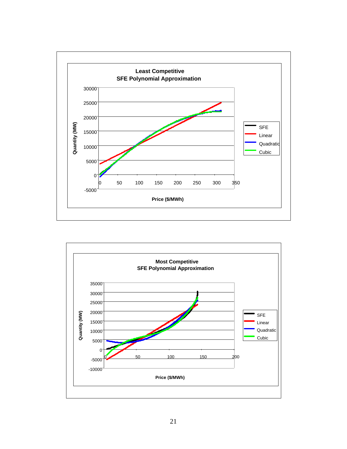

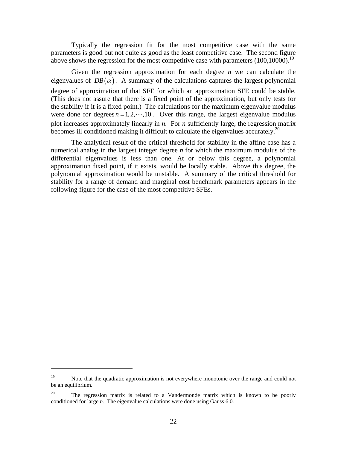Typically the regression fit for the most competitive case with the same parameters is good but not quite as good as the least competitive case. The second figure above shows the regression for the most competitive case with parameters  $(100,10000)$ .<sup>19</sup>

 Given the regression approximation for each degree *n* we can calculate the eigenvalues of  $DB(\alpha)$ . A summary of the calculations captures the largest polynomial degree of approximation of that SFE for which an approximation SFE could be stable. (This does not assure that there is a fixed point of the approximation, but only tests for the stability if it is a fixed point.) The calculations for the maximum eigenvalue modulus were done for degrees  $n = 1, 2, \dots, 10$ . Over this range, the largest eigenvalue modulus plot increases approximately linearly in *n*. For *n* sufficiently large, the regression matrix becomes ill conditioned making it difficult to calculate the eigenvalues accurately.<sup>20</sup>

 The analytical result of the critical threshold for stability in the affine case has a numerical analog in the largest integer degree *n* for which the maximum modulus of the differential eigenvalues is less than one. At or below this degree, a polynomial approximation fixed point, if it exists, would be locally stable. Above this degree, the polynomial approximation would be unstable. A summary of the critical threshold for stability for a range of demand and marginal cost benchmark parameters appears in the following figure for the case of the most competitive SFEs.

<sup>&</sup>lt;sup>19</sup> Note that the quadratic approximation is not everywhere monotonic over the range and could not be an equilibrium.

<sup>&</sup>lt;sup>20</sup> The regression matrix is related to a Vandermonde matrix which is known to be poorly conditioned for large *n*. The eigenvalue calculations were done using Gauss 6.0.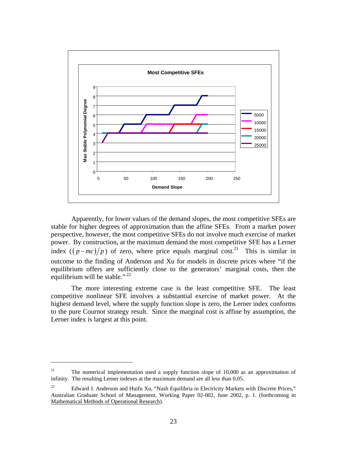

Apparently, for lower values of the demand slopes, the most competitive SFEs are stable for higher degrees of approximation than the affine SFEs. From a market power perspective, however, the most competitive SFEs do not involve much exercise of market power. By construction, at the maximum demand the most competitive SFE has a Lerner index  $((p-mc)/p)$  of zero, where price equals marginal cost.<sup>21</sup> This is similar in outcome to the finding of Anderson and Xu for models in discrete prices where "if the equilibrium offers are sufficiently close to the generators' marginal costs, then the equilibrium will be stable."<sup>22</sup>

 The more interesting extreme case is the least competitive SFE. The least competitive nonlinear SFE involves a substantial exercise of market power. At the highest demand level, where the supply function slope is zero, the Lerner index conforms to the pure Cournot strategy result. Since the marginal cost is affine by assumption, the Lerner index is largest at this point.

1

<sup>&</sup>lt;sup>21</sup> The numerical implementation used a supply function slope of 10,000 as an approximation of infinity. The resulting Lerner indexes at the maximum demand are all less than 0.05.

<sup>&</sup>lt;sup>22</sup> Edward J. Anderson and Huifu Xu, "Nash Equilibria in Electricity Markets with Discrete Prices," Australian Graduate School of Management, Working Paper 02-002, June 2002, p. 1. (forthcoming in Mathematical Methods of Operational Research).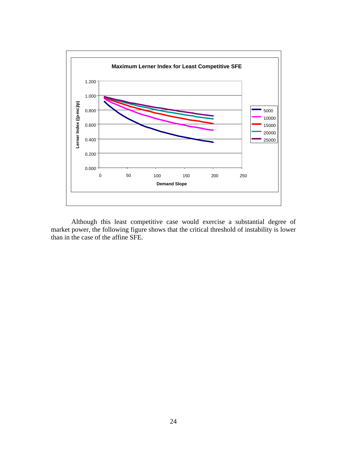

 Although this least competitive case would exercise a substantial degree of market power, the following figure shows that the critical threshold of instability is lower than in the case of the affine SFE.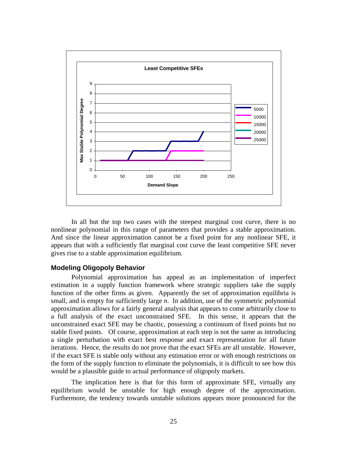

 In all but the top two cases with the steepest marginal cost curve, there is no nonlinear polynomial in this range of parameters that provides a stable approximation. And since the linear approximation cannot be a fixed point for any nonlinear SFE, it appears that with a sufficiently flat marginal cost curve the least competitive SFE never gives rise to a stable approximation equilibrium.

#### **Modeling Oligopoly Behavior**

 Polynomial approximation has appeal as an implementation of imperfect estimation in a supply function framework where strategic suppliers take the supply function of the other firms as given. Apparently the set of approximation equilibria is small, and is empty for sufficiently large *n*. In addition, use of the symmetric polynomial approximation allows for a fairly general analysis that appears to come arbitrarily close to a full analysis of the exact unconstrained SFE. In this sense, it appears that the unconstrained exact SFE may be chaotic, possessing a continuum of fixed points but no stable fixed points. Of course, approximation at each step is not the same as introducing a single perturbation with exact best response and exact representation for all future iterations. Hence, the results do not prove that the exact SFEs are all unstable. However, if the exact SFE is stable only without any estimation error or with enough restrictions on the form of the supply function to eliminate the polynomials, it is difficult to see how this would be a plausible guide to actual performance of oligopoly markets.

The implication here is that for this form of approximate SFE, virtually any equilibrium would be unstable for high enough degree of the approximation. Furthermore, the tendency towards unstable solutions appears more pronounced for the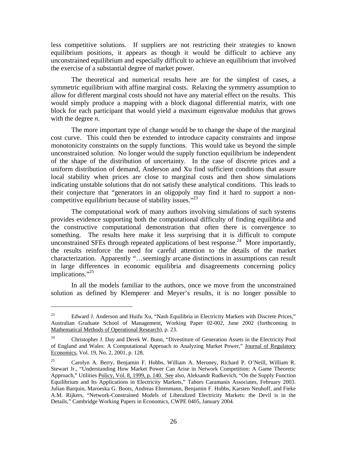less competitive solutions. If suppliers are not restricting their strategies to known equilibrium positions, it appears as though it would be difficult to achieve any unconstrained equilibrium and especially difficult to achieve an equilibrium that involved the exercise of a substantial degree of market power.

 The theoretical and numerical results here are for the simplest of cases, a symmetric equilibrium with affine marginal costs. Relaxing the symmetry assumption to allow for different marginal costs should not have any material effect on the results. This would simply produce a mapping with a block diagonal differential matrix, with one block for each participant that would yield a maximum eigenvalue modulus that grows with the degree *n*.

 The more important type of change would be to change the shape of the marginal cost curve. This could then be extended to introduce capacity constraints and impose monotonicity constraints on the supply functions. This would take us beyond the simple unconstrained solution. No longer would the supply function equilibrium be independent of the shape of the distribution of uncertainty. In the case of discrete prices and a uniform distribution of demand, Anderson and Xu find sufficient conditions that assure local stability when prices are close to marginal costs and then show simulations indicating unstable solutions that do not satisfy these analytical conditions. This leads to their conjecture that "generators in an oligopoly may find it hard to support a noncompetitive equilibrium because of stability issues."<sup>23</sup>

 The computational work of many authors involving simulations of such systems provides evidence supporting both the computational difficulty of finding equilibria and the constructive computational demonstration that often there is convergence to something. The results here make it less surprising that it is difficult to compute unconstrained SFEs through repeated applications of best response.<sup>24</sup> More importantly, the results reinforce the need for careful attention to the details of the market characterization. Apparently "…seemingly arcane distinctions in assumptions can result in large differences in economic equilibria and disagreements concerning policy implications."<sup>25</sup>

 In all the models familiar to the authors, once we move from the unconstrained solution as defined by Klemperer and Meyer's results, it is no longer possible to

<sup>&</sup>lt;sup>23</sup> Edward J. Anderson and Huifu Xu, "Nash Equilibria in Electricity Markets with Discrete Prices," Australian Graduate School of Management, Working Paper 02-002, June 2002 (forthcoming in Mathematical Methods of Operational Research), p. 23.

<sup>&</sup>lt;sup>24</sup> Christopher J. Day and Derek W. Bunn, "Divestiture of Generation Assets in the Electricity Pool of England and Wales: A Computational Approach to Analyzing Market Power," Journal of Regulatory Economics, Vol. 19, No. 2, 2001, p. 128.

<sup>25</sup> Carolyn A. Berry, Benjamin F. Hobbs, William A. Meroney, Richard P. O'Neill, William R. Stewart Jr., "Understanding How Market Power Can Arise in Network Competition: A Game Theoretic Approach," Utilities Policy, Vol. 8, 1999, p. 140. See also, Aleksandr Rudkevich, "On the Supply Function Equilibrium and Its Applications in Electricity Markets," Tabors Caramanis Associates, February 2003. Julian Barquin, Maroeska G. Boots, Andreas Ehrenmann, Benjamin F. Hobbs, Karsten Neuhoff, and Fieke A.M. Rijkers, "Network-Constrained Models of Liberalized Electricity Markets: the Devil is in the Details," Cambridge Working Papers in Economics, CWPE 0405, January 2004.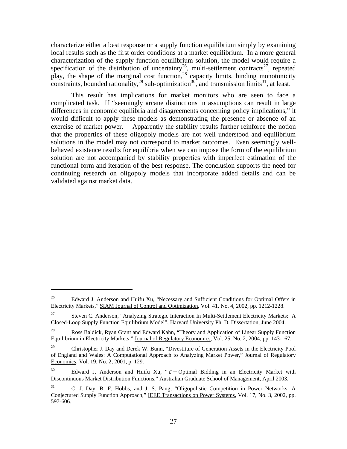characterize either a best response or a supply function equilibrium simply by examining local results such as the first order conditions at a market equilibrium. In a more general characterization of the supply function equilibrium solution, the model would require a specification of the distribution of uncertainty<sup>26</sup>, multi-settlement contracts<sup>27</sup>, repeated play, the shape of the marginal cost function,  $28$  capacity limits, binding monotonicity constraints, bounded rationality,<sup>29</sup> sub-optimization<sup>30</sup>, and transmission limits<sup>31</sup>, at least.

 This result has implications for market monitors who are seen to face a complicated task. If "seemingly arcane distinctions in assumptions can result in large differences in economic equilibria and disagreements concerning policy implications," it would difficult to apply these models as demonstrating the presence or absence of an exercise of market power. Apparently the stability results further reinforce the notion that the properties of these oligopoly models are not well understood and equilibrium solutions in the model may not correspond to market outcomes. Even seemingly wellbehaved existence results for equilibria when we can impose the form of the equilibrium solution are not accompanied by stability properties with imperfect estimation of the functional form and iteration of the best response. The conclusion supports the need for continuing research on oligopoly models that incorporate added details and can be validated against market data.

<sup>&</sup>lt;sup>26</sup> Edward J. Anderson and Huifu Xu, "Necessary and Sufficient Conditions for Optimal Offers in Electricity Markets," SIAM Journal of Control and Optimization, Vol. 41, No. 4, 2002, pp. 1212-1228.

<sup>&</sup>lt;sup>27</sup> Steven C. Anderson, "Analyzing Strategic Interaction In Multi-Settlement Electricity Markets: A Closed-Loop Supply Function Equilibrium Model", Harvard University Ph. D. Dissertation, June 2004.

<sup>&</sup>lt;sup>28</sup> Ross Baldick, Ryan Grant and Edward Kahn, "Theory and Application of Linear Supply Function Equilibrium in Electricity Markets," Journal of Regulatory Economics, Vol. 25, No. 2, 2004, pp. 143-167.

<sup>&</sup>lt;sup>29</sup> Christopher J. Day and Derek W. Bunn, "Divestiture of Generation Assets in the Electricity Pool of England and Wales: A Computational Approach to Analyzing Market Power," Journal of Regulatory Economics, Vol. 19, No. 2, 2001, p. 129.

<sup>&</sup>lt;sup>30</sup> Edward J. Anderson and Huifu Xu, " $\varepsilon$  − Optimal Bidding in an Electricity Market with Discontinuous Market Distribution Functions," Australian Graduate School of Management, April 2003.

<sup>&</sup>lt;sup>31</sup> C. J. Day, B. F. Hobbs, and J. S. Pang, "Oligopolistic Competition in Power Networks: A Conjectured Supply Function Approach," IEEE Transactions on Power Systems, Vol. 17, No. 3, 2002, pp. 597-606.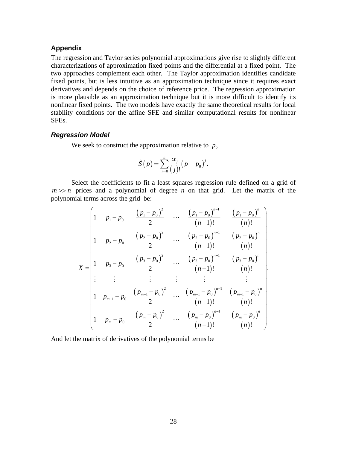### **Appendix**

The regression and Taylor series polynomial approximations give rise to slightly different characterizations of approximation fixed points and the differential at a fixed point. The two approaches complement each other. The Taylor approximation identifies candidate fixed points, but is less intuitive as an approximation technique since it requires exact derivatives and depends on the choice of reference price. The regression approximation is more plausible as an approximation technique but it is more difficult to identify its nonlinear fixed points. The two models have exactly the same theoretical results for local stability conditions for the affine SFE and similar computational results for nonlinear SFEs.

#### *Regression Model*

We seek to construct the approximation relative to  $p_0$ 

$$
\tilde{S}(p) = \sum_{j=0}^{n} \frac{\alpha_j}{(j)!} (p - p_0)^j.
$$

Select the coefficients to fit a least squares regression rule defined on a grid of  $m \gg n$  prices and a polynomial of degree *n* on that grid. Let the matrix of the polynomial terms across the grid be:

$$
X = \begin{pmatrix} 1 & p_1 - p_0 & \frac{(p_1 - p_0)^2}{2} & \cdots & \frac{(p_1 - p_0)^{n-1}}{(n-1)!} & \frac{(p_1 - p_0)^n}{(n)!} \\ 1 & p_2 - p_0 & \frac{(p_2 - p_0)^2}{2} & \cdots & \frac{(p_2 - p_0)^{n-1}}{(n-1)!} & \frac{(p_2 - p_0)^n}{(n)!} \\ \vdots & \vdots & \vdots & \ddots & \vdots & \vdots & \vdots \\ 1 & p_{n-1} - p_0 & \frac{(p_{n-1} - p_0)^2}{2} & \cdots & \frac{(p_{n-1} - p_0)^{n-1}}{(n-1)!} & \frac{(p_{n-1} - p_0)^n}{(n)!} \\ \vdots & \vdots & \vdots & \vdots & \vdots & \vdots \\ 1 & p_{m-1} - p_0 & \frac{(p_{m-1} - p_0)^2}{2} & \cdots & \frac{(p_{m-1} - p_0)^{n-1}}{(n-1)!} & \frac{(p_{m-1} - p_0)^n}{(n)!} \\ 1 & p_m - p_0 & \frac{(p_m - p_0)^2}{2} & \cdots & \frac{(p_m - p_0)^{n-1}}{(n-1)!} & \frac{(p_m - p_0)^n}{(n)!} \end{pmatrix}.
$$

And let the matrix of derivatives of the polynomial terms be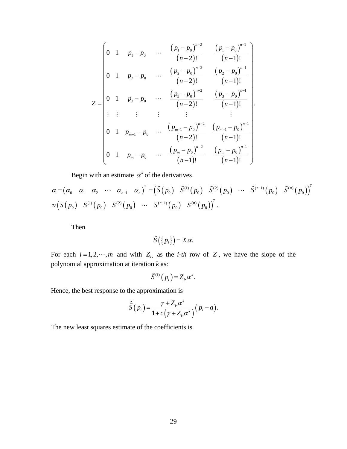$$
Z = \begin{pmatrix}\n0 & 1 & p_1 - p_0 & \cdots & \frac{(p_1 - p_0)^{n-2}}{(n-2)!} & \frac{(p_1 - p_0)^{n-1}}{(n-1)!} \\
0 & 1 & p_2 - p_0 & \cdots & \frac{(p_2 - p_0)^{n-2}}{(n-2)!} & \frac{(p_2 - p_0)^{n-1}}{(n-1)!} \\
\vdots & \vdots & \vdots & \vdots & \vdots & \vdots \\
0 & 1 & p_{m-1} - p_0 & \cdots & \frac{(p_{m-1} - p_0)^{n-2}}{(n-2)!} & \frac{(p_{m-1} - p_0)^{n-1}}{(n-1)!} \\
0 & 1 & p_{m-1} - p_0 & \cdots & \frac{(p_{m-1} - p_0)^{n-2}}{(n-2)!} & \frac{(p_{m-1} - p_0)^{n-1}}{(n-1)!} \\
0 & 1 & p_m - p_0 & \cdots & \frac{(p_m - p_0)^{n-2}}{(n-1)!} & \frac{(p_m - p_0)^{n-1}}{(n-1)!}\n\end{pmatrix}
$$

Begin with an estimate  $\alpha^k$  of the derivatives

$$
\alpha = (\alpha_0 \quad \alpha_1 \quad \alpha_2 \quad \cdots \quad \alpha_{n-1} \quad \alpha_n)^T = (\tilde{S}(p_0) \quad \tilde{S}^{(1)}(p_0) \quad \tilde{S}^{(2)}(p_0) \quad \cdots \quad \tilde{S}^{(n-1)}(p_0) \quad \tilde{S}^{(n)}(p_0))^{T}
$$
  

$$
\approx (S(p_0) \quad S^{(1)}(p_0) \quad S^{(2)}(p_0) \quad \cdots \quad S^{(n-1)}(p_0) \quad S^{(n)}(p_0))^{T}.
$$

Then

$$
\tilde{S}(\{p_i\})=X\alpha.
$$

For each  $i = 1, 2, \dots, m$  and with  $Z_i$ , as the *i-th* row of  $Z$ , we have the slope of the polynomial approximation at iteration *k* as:

$$
\tilde{S}^{(1)}(p_i) = Z_i \alpha^k.
$$

Hence, the best response to the approximation is

$$
\hat{\tilde{S}}(p_i) = \frac{\gamma + Z_{i\cdot} \alpha^k}{1 + c(\gamma + Z_{i\cdot} \alpha^k)} (p_i - a).
$$

The new least squares estimate of the coefficients is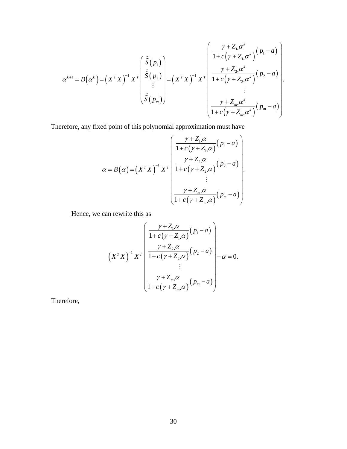$$
\alpha^{k+1} = B(\alpha^k) = (X^TX)^{-1} X^T \begin{pmatrix} \hat{\tilde{S}}(p_1) \\ \hat{\tilde{S}}(p_2) \\ \vdots \\ \hat{\tilde{S}}(p_m) \end{pmatrix} = (X^TX)^{-1} X^T \begin{pmatrix} \frac{\gamma + Z_{1} \alpha^k}{1 + c(\gamma + Z_{1} \alpha^k)} (p_1 - a) \\ \frac{\gamma + Z_{2} \alpha^k}{1 + c(\gamma + Z_{2} \alpha^k)} (p_2 - a) \\ \vdots \\ \frac{\gamma + Z_{m} \alpha^k}{1 + c(\gamma + Z_{m} \alpha^k)} (p_m - a) \end{pmatrix}.
$$

Therefore, any fixed point of this polynomial approximation must have

$$
\alpha = B(\alpha) = (X^TX)^{-1} X^T \begin{pmatrix} \frac{\gamma + Z_{1\cdot}\alpha}{1 + c(\gamma + Z_{1\cdot}\alpha)} (p_1 - a) \\ \frac{\gamma + Z_{2\cdot}\alpha}{1 + c(\gamma + Z_{2\cdot}\alpha)} (p_2 - a) \\ \vdots \\ \frac{\gamma + Z_{m\cdot}\alpha}{1 + c(\gamma + Z_{m\cdot}\alpha)} (p_m - a) \end{pmatrix}.
$$

Hence, we can rewrite this as

$$
\left(X^T X\right)^{-1} X^T \left(\begin{array}{c} \frac{\gamma + Z_{1\cdot}\alpha}{1 + c(\gamma + Z_{1\cdot}\alpha)} (p_1 - a) \\ \frac{\gamma + Z_{2\cdot}\alpha}{1 + c(\gamma + Z_{2\cdot}\alpha)} (p_2 - a) \\ \vdots \\ \frac{\gamma + Z_{m\cdot}\alpha}{1 + c(\gamma + Z_{m\cdot}\alpha)} (p_m - a) \end{array}\right) - \alpha = 0.
$$

Therefore,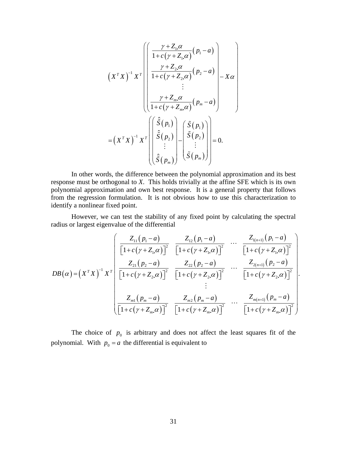$$
\left(X^T X\right)^{-1} X^T \left( \begin{bmatrix} \frac{\gamma + Z_{1} \alpha}{1 + c(\gamma + Z_{1} \alpha)} (p_1 - a) \\ \frac{\gamma + Z_{2} \alpha}{1 + c(\gamma + Z_{2} \alpha)} (p_2 - a) \\ \vdots \\ \frac{\gamma + Z_{m} \alpha}{1 + c(\gamma + Z_{m} \alpha)} (p_m - a) \end{bmatrix} - X \alpha \right)
$$

$$
= \left(X^T X\right)^{-1} X^T \left( \begin{bmatrix} \hat{S}(p_1) \\ \hat{S}(p_2) \\ \vdots \\ \hat{S}(p_m) \end{bmatrix} - \begin{bmatrix} \tilde{S}(p_1) \\ \tilde{S}(p_2) \\ \vdots \\ \tilde{S}(p_m) \end{bmatrix} \right) = 0.
$$

In other words, the difference between the polynomial approximation and its best response must be orthogonal to *X*. This holds trivially at the affine SFE which is its own polynomial approximation and own best response. It is a general property that follows from the regression formulation. It is not obvious how to use this characterization to identify a nonlinear fixed point.

However, we can test the stability of any fixed point by calculating the spectral radius or largest eigenvalue of the differential

$$
DB(\alpha) = (X^TX)^{-1} X^T \begin{bmatrix} \frac{Z_{11}(p_1 - a)}{\left[1 + c(\gamma + Z_{11}\alpha)\right]^2} & \frac{Z_{12}(p_1 - a)}{\left[1 + c(\gamma + Z_{11}\alpha)\right]^2} & \cdots & \frac{Z_{1(n+1)}(p_1 - a)}{\left[1 + c(\gamma + Z_{11}\alpha)\right]^2} \\ \frac{Z_{21}(p_2 - a)}{\left[1 + c(\gamma + Z_{21}\alpha)\right]^2} & \frac{Z_{22}(p_2 - a)}{\left[1 + c(\gamma + Z_{21}\alpha)\right]^2} & \cdots & \frac{Z_{2(n+1)}(p_2 - a)}{\left[1 + c(\gamma + Z_{21}\alpha)\right]^2} \\ \vdots & \vdots & \ddots & \vdots \\ \frac{Z_{m1}(p_m - a)}{\left[1 + c(\gamma + Z_m \alpha)\right]^2} & \frac{Z_{m2}(p_m - a)}{\left[1 + c(\gamma + Z_m \alpha)\right]^2} & \cdots & \frac{Z_{m(n+1)}(p_m - a)}{\left[1 + c(\gamma + Z_m \alpha)\right]^2} \end{bmatrix}
$$

.

The choice of  $p_0$  is arbitrary and does not affect the least squares fit of the polynomial. With  $p_0 = a$  the differential is equivalent to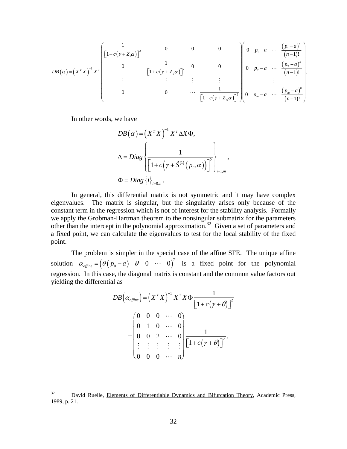$$
DB(\alpha) = (X^T X)^{-1} X^T \begin{bmatrix} \frac{1}{\left[1 + c(\gamma + Z_1 \alpha)\right]^2} & 0 & 0 & 0 \\ 0 & \frac{1}{\left[1 + c(\gamma + Z_2 \alpha)\right]^2} & 0 & 0 \\ \vdots & \vdots & \vdots & \vdots & \vdots \\ 0 & 0 & \cdots & \frac{1}{\left[1 + c(\gamma + Z_m \alpha)\right]^2} \end{bmatrix} \begin{bmatrix} 0 & p_1 - a & \cdots & \frac{(p_1 - a)^n}{(n-1)!} \\ 0 & p_2 - a & \cdots & \frac{(p_2 - a)^n}{(n-1)!} \\ \vdots & \vdots & \vdots & \vdots \\ 0 & p_m - a & \cdots & \frac{(p_m - a)^n}{(n-1)!} \end{bmatrix}.
$$

In other words, we have

1

$$
DB(\alpha) = (X^T X)^{-1} X^T \Delta X \Phi,
$$
  
\n
$$
\Delta = Diag \left\{ \frac{1}{\left[1 + c(\gamma + \tilde{S}^{(1)}(p_i, \alpha))\right]^2} \right\}_{i=1,m},
$$
  
\n
$$
\Phi = Diag \left\{ i \right\}_{i=0,n}.
$$

In general, this differential matrix is not symmetric and it may have complex eigenvalues. The matrix is singular, but the singularity arises only because of the constant term in the regression which is not of interest for the stability analysis. Formally we apply the Grobman-Hartman theorem to the nonsingular submatrix for the parameters other than the intercept in the polynomial approximation.<sup>32</sup> Given a set of parameters and a fixed point, we can calculate the eigenvalues to test for the local stability of the fixed point.

The problem is simpler in the special case of the affine SFE. The unique affine solution  $\alpha_{\text{affine}} = (\theta ( p_0 - a) \quad \theta \quad 0 \quad \cdots \quad 0)^T$  is a fixed point for the polynomial regression. In this case, the diagonal matrix is constant and the common value factors out yielding the differential as

$$
DB(\alpha_{\text{affine}}) = (X^T X)^{-1} X^T X \Phi \frac{1}{\left[1 + c(\gamma + \theta)\right]^2}
$$
  
= 
$$
\begin{pmatrix} 0 & 0 & 0 & \cdots & 0 \\ 0 & 1 & 0 & \cdots & 0 \\ 0 & 0 & 2 & \cdots & 0 \\ \vdots & \vdots & \vdots & \vdots & \vdots \\ 0 & 0 & 0 & \cdots & n \end{pmatrix} \frac{1}{\left[1 + c(\gamma + \theta)\right]^2}.
$$

<sup>&</sup>lt;sup>32</sup> David Ruelle, Elements of Differentiable Dynamics and Bifurcation Theory, Academic Press, 1989, p. 21.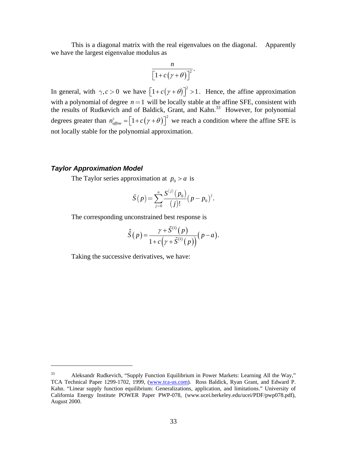This is a diagonal matrix with the real eigenvalues on the diagonal. Apparently we have the largest eigenvalue modulus as

$$
\frac{n}{\left[1+c(\gamma+\theta)\right]^2}.
$$

In general, with  $\gamma, c > 0$  we have  $\left[1 + c(\gamma + \theta)\right]^2 > 1$ . Hence, the affine approximation with a polynomial of degree  $n = 1$  will be locally stable at the affine SFE, consistent with the results of Rudkevich and of Baldick, Grant, and Kahn.<sup>33</sup> However, for polynomial degrees greater than  $n_{\text{affine}}^c = [1 + c(\gamma + \theta)]^2$  we reach a condition where the affine SFE is not locally stable for the polynomial approximation.

## *Taylor Approximation Model*

 $\overline{a}$ 

The Taylor series approximation at  $p_0 > a$  is

$$
\tilde{S}(p) = \sum_{j=0}^{n} \frac{S^{(j)}(p_0)}{(j)!} (p - p_0)^j.
$$

The corresponding unconstrained best response is

$$
\hat{\tilde{S}}\big(\,p\,\big)\!=\!\frac{\gamma+\widetilde{S}^{(1)}\big(\,p\,\big)}{1\!+\!c\!\left(\gamma+\widetilde{S}^{(1)}\!\left(\,p\,\right)\right)}\!\big(\,p\!-\!a\,\big).
$$

Taking the successive derivatives, we have:

 $33$  Aleksandr Rudkevich, "Supply Function Equilibrium in Power Markets: Learning All the Way," TCA Technical Paper 1299-1702, 1999, (www.tca-us.com). Ross Baldick, Ryan Grant, and Edward P. Kahn. "Linear supply function equilibrium: Generalizations, application, and limitations." University of California Energy Institute POWER Paper PWP-078, (www.ucei.berkeley.edu/ucei/PDF/pwp078.pdf), August 2000.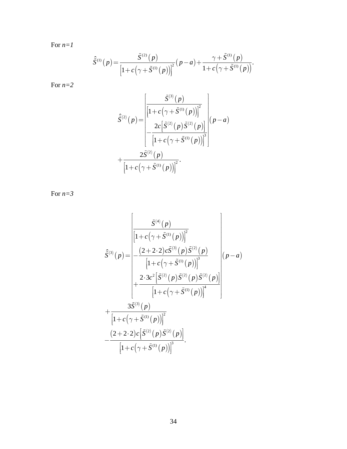For *n=1*

$$
\hat{S}^{(1)}(p) = \frac{\tilde{S}^{(2)}(p)}{\left[1 + c(\gamma + \tilde{S}^{(1)}(p))\right]^2} (p - a) + \frac{\gamma + \tilde{S}^{(1)}(p)}{1 + c(\gamma + \tilde{S}^{(1)}(p))}.
$$

For *n=2*

$$
\hat{S}^{(2)}(p) = \frac{\left| \frac{\tilde{S}^{(3)}(p)}{\left[1 + c(\gamma + \tilde{S}^{(1)}(p))\right]^2} \right|}{\left[\frac{2c\left[\tilde{S}^{(2)}(p)\tilde{S}^{(2)}(p)\right]}{\left[1 + c(\gamma + \tilde{S}^{(1)}(p))\right]^3}\right|} (p-a)
$$
\n
$$
+\frac{2\tilde{S}^{(2)}(p)}{\left[1 + c(\gamma + \tilde{S}^{(1)}(p))\right]^2}.
$$

For *n=3*

$$
\hat{S}^{(3)}(p) = \frac{\begin{bmatrix}\n\hat{S}^{(4)}(p) & \hat{S}^{(4)}(p) \\
\frac{1+c(\gamma+\tilde{S}^{(1)}(p))^{2}}{1+c(\gamma+\tilde{S}^{(1)}(p))^{3}} & \hat{S}^{(2)}(p) \\
\frac{2 \cdot 3c^{2} [\tilde{S}^{(2)}(p) \tilde{S}^{(2)}(p) \tilde{S}^{(2)}(p)]}{1+c(\gamma+\tilde{S}^{(1)}(p))^{4}} & \frac{3\tilde{S}^{(3)}(p)}{1+c(\gamma+\tilde{S}^{(1)}(p))^{4}}\n\end{bmatrix} (p-a) + \frac{3\tilde{S}^{(3)}(p)}{1+c(\gamma+\tilde{S}^{(1)}(p))^{2}} - \frac{(2+2 \cdot 2)c[\tilde{S}^{(2)}(p) \tilde{S}^{(2)}(p)]}{[1+c(\gamma+\tilde{S}^{(1)}(p))]^{3}}.
$$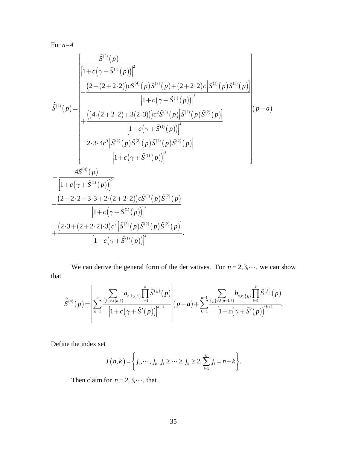For *n=4*

$$
\hat{S}^{(4)}(p) = \begin{bmatrix}\n\frac{\hat{S}^{(5)}(p)}{\left[1 + c(\gamma + \tilde{S}^{(1)}(p))\right]^2} & \\
-\frac{(2 + (2 + 2 \cdot 2))c\tilde{S}^{(4)}(p)\tilde{S}^{(2)}(p) + (2 + 2 \cdot 2)c[\tilde{S}^{(3)}(p)\tilde{S}^{(3)}(p)]}{\left[1 + c(\gamma + \tilde{S}^{(1)}(p))\right]^3} & \\
+\frac{((4 \cdot (2 + 2 \cdot 2) + 3(2 \cdot 3)))c^2\tilde{S}^{(3)}(p)[\tilde{S}^{(2)}(p)\tilde{S}^{(2)}(p)]}{\left[1 + c(\gamma + \tilde{S}^{(1)}(p))\right]^4} & \\
-\frac{2 \cdot 3 \cdot 4c^3[\tilde{S}^{(2)}(p)\tilde{S}^{(2)}(p)\tilde{S}^{(2)}(p)\tilde{S}^{(2)}(p)]}{\left[1 + c(\gamma + \tilde{S}^{(1)}(p))\right]^5} & \\
-\frac{(2 + 2 \cdot 2 + 3 \cdot 3 + 2 \cdot (2 + 2 \cdot 2))c\tilde{S}^{(3)}(p)\tilde{S}^{(2)}(p)}{\left[1 + c(\gamma + \tilde{S}^{(1)}(p))\right]^2} & \\
+\frac{(2 \cdot 3 + (2 + 2 \cdot 2) \cdot 3)c^2[\tilde{S}^{(2)}(p)\tilde{S}^{(2)}(p)\tilde{S}^{(2)}(p)]}{\left[1 + c(\gamma + \tilde{S}^{(1)}(p))\right]^4} & \\
-\frac{(2 \cdot 3 + (2 + 2 \cdot 2) \cdot 3)c^2[\tilde{S}^{(2)}(p)\tilde{S}^{(2)}(p)\tilde{S}^{(2)}(p)]}{\left[1 + c(\gamma + \tilde{S}^{(1)}(p))\right]^4} & \\
-\frac{(2 \cdot 3 + (2 + 2 \cdot 2) \cdot 3)c^2[\tilde{S}^{(2)}(p)\tilde{S}^{(2)}(p)]}{\left[1 + c(\gamma + \tilde{S}^{(1)}(p))\right]^4} & \\
-\frac{(2 \cdot 3 + (2 + 2 \cdot 2) \cdot 3)c^2[\tilde{S}^{(2)}(p)\tilde{S
$$

We can derive the general form of the derivatives. For  $n = 2, 3, \dots$ , we can show that

$$
\hat{S}^{(n)}(p) = \left[ \sum_{k=1}^{n} \frac{\sum\limits_{\{j_i\} \in J(n,k)} a_{n,k,\{j_i\}} \prod\limits_{i=1}^{k} \tilde{S}^{(j_i)}(p)}{\left[1 + c\left(\gamma + \tilde{S}'(p)\right)\right]^{k+1}} \right] (p-a) + \sum_{k=1}^{n-1} \frac{\sum\limits_{\{j_i\} \in J(n-1,k)} b_{n,k,\{j_i\}} \prod\limits_{i=1}^{k} \tilde{S}^{(j_i)}(p)}{\left[1 + c\left(\gamma + \tilde{S}'(p)\right)\right]^{k+1}}.
$$

Define the index set

$$
J(n,k) = \left\{j_1,\dots,j_k\,\middle|\,j_1\geq\cdots\geq j_k\geq 2,\sum_{i=1}^k j_i = n+k\right\}.
$$

Then claim for  $n = 2, 3, \dots$ , that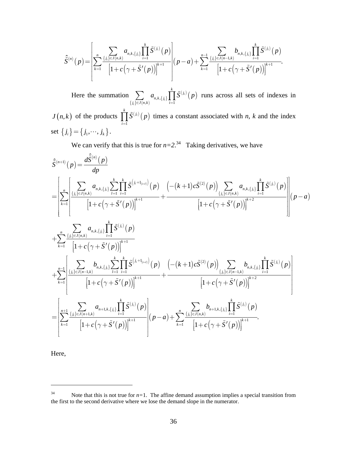$$
\hat{S}^{(n)}(p) = \left[ \sum_{k=1}^{n} \frac{\sum_{\{j_i\} \in J(n,k)} a_{n,k,\{j_i\}} \prod_{i=1}^{k} \tilde{S}^{(j_i)}(p)}{\left[1 + c\left(\gamma + \tilde{S}'(p)\right)\right]^{k+1}} \right] (p-a) + \sum_{k=1}^{n-1} \frac{\sum_{\{j_i\} \in J(n-1,k)} b_{n,k,\{j_i\}} \prod_{i=1}^{k} \tilde{S}^{(j_i)}(p)}{\left[1 + c\left(\gamma + \tilde{S}'(p)\right)\right]^{k+1}}.
$$

Here the summation  $\sum a_{n,k,\{j_i\}} \prod \tilde{S}^{(j_i)}(p)$  $\{j_i\} \in J(n,k)$  $\{a_{n,k},\{j_i\}\}\prod_{i=1}^{\mathbf{d}}$ *i*  $\sum_{i}^{n,k}$ ,  $\sum_{i}^{n,k}$ ,  $\sum_{i}^{n}$  $\sum_{i=1}^{k}$  $\sum_{j_i \}in J(n,k)$ <sup>*i*</sup> $\sum_{i}$  $a_{n,k}$ <sub>*s* $\{S^{(J_i)}(p)\}$ </sub>  $\sum_{j \in J(n,k)} a_{n,k,\lbrace j_i \rbrace} \prod_{i=1}^{n} \tilde{S}^{(j_i)}(p)$  runs across all sets of indexes in  $J(n,k)$  of the products  $\prod \tilde{S}^{(j_i)}(p)$ 1  $\prod_{i=1}^{k}$   $\tilde{G}(j_i)$ *i*  $S^{\scriptscriptstyle (J_i)}$  (  $p$  $\prod_{i=1}^{n} \tilde{S}^{(j_i)}(p)$  times a constant associated with *n*, *k* and the index set  $\{j_i\} = \{j_1, \dots, j_k\}$ .

We can verify that this is true for  $n=2$ .<sup>34</sup> Taking derivatives, we have

$$
\hat{S}^{(n+1)}(p) = \frac{d\hat{S}^{(n)}(p)}{dp} \n= \left[ \sum_{k=1}^{n} \left[ \frac{\sum_{\{j_i\} \in J(n,k)} a_{n,k,\{j_i\}} \sum_{l=1}^{k} \prod_{i=1}^{k} \hat{S}^{\{j_i+1_{\{l=1\}}} (p)} \left( p \right) \left( -(k+1)c\tilde{S}^{(2)}(p) \right) \sum_{\{j_i\} \in J(n,k)} a_{n,k,\{j_i\}} \prod_{l=1}^{k} \tilde{S}^{(j_l)}(p) \right)}{\left[ 1 + c(\gamma + \tilde{S}'(p)) \right]^{k+2}} \right] \right] (p-a) \n+ \sum_{k=1}^{n} \underbrace{\sum_{\{j_i\} \in J(n,k)} a_{n,k,\{j_i\}} \prod_{l=1}^{k} \tilde{S}^{(j_l)}(p)}_{\left[ 1 + c(\gamma + \tilde{S}'(p)) \right]^{k+1}} + \underbrace{\sum_{k=1}^{n-1} \underbrace{\sum_{\{j_i\} \in J(n-k)} a_{n,k,\{j_i\}} \sum_{l=1}^{k} \prod_{i=1}^{k} \tilde{S}^{(j_i)}(p)}_{\left[ 1 + c(\gamma + \tilde{S}'(p)) \right]^{k+1}} + \underbrace{\sum_{\{j_i\} \in J(n-k)} a_{n,k,\{j_i\}} \sum_{l=1}^{k} \prod_{i=1}^{k} \tilde{S}^{\{j_i+1_{\{i=0\}}} (p)} \left( -(k+1)c\tilde{S}^{(2)}(p) \right) \sum_{\{j_i\} \in J(n-k)} b_{n,k,\{j_i\}} \prod_{l=1}^{k} \tilde{S}^{(j_l)}(p) \right]}_{\left[ 1 + c(\gamma + \tilde{S}'(p)) \right]^{k+2}} \\ = \left[ \sum_{k=1}^{n+1} \underbrace{\sum_{\{j_i\} \in J(n+1,k)} a_{n+1,k,\{j_i\}} \prod_{l=1}^{k} \tilde{S}^{(j_l)}(p)}_{\left[ 1 + c(\gamma + \tilde{S}'(p)) \right]^{k+1}} + \underbrace{\sum_{k=1}^{n} \underbrace{\sum_{\{j_i\} \in J(n,k)} b_{n+
$$

Here,

 $34$  Note that this is not true for  $n=1$ . The affine demand assumption implies a special transition from the first to the second derivative where we lose the demand slope in the numerator.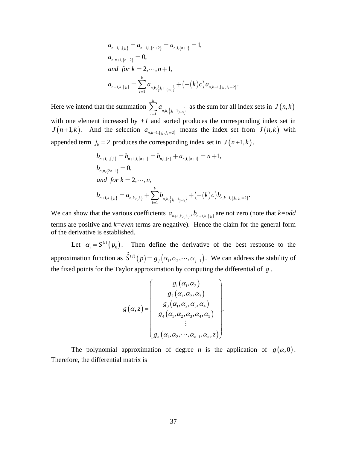$$
a_{n+1,1,\lbrace j_i \rbrace} = a_{n+1,1,\lbrace n+2 \rbrace} = a_{n,1,\lbrace n+1 \rbrace} = 1,
$$
  
\n
$$
a_{n,n+1,\lbrace n+2 \rbrace} = 0,
$$
  
\nand for  $k = 2, \dots, n+1$ ,  
\n
$$
a_{n+1,k,\lbrace j_i \rbrace} = \sum_{l=1}^{k} a_{n,k,\lbrace j_i+1_{(l=i)} \rbrace} + (-(k)c)a_{n,k-1,\lbrace j_i, j_k=2 \rbrace}.
$$

Here we intend that the summation  $\sum_{l=1} a_{n,k,\{j_i+1_{(i=l)}\}}$ *k*  $\sum_{l=1}^{\infty} n,k, \begin{cases} j \end{cases}$ *a*  $\sum_{l=1} a_{n,k,\{j_i+1_{(i=l)}\}}$  as the sum for all index sets in  $J(n,k)$ with one element increased by  $+1$  and sorted produces the corresponding index set in *J* $(n+1, k)$ . And the selection  $a_{n, k-1, \{j_i, j_k=2\}}$  means the index set from *J* $(n, k)$  with appended term  $j_k = 2$  produces the corresponding index set in  $J(n+1, k)$ .

$$
b_{n+1,1,\lbrace j_i \rbrace} = b_{n+1,1,\lbrace n+1 \rbrace} = b_{n,1,\lbrace n \rbrace} + a_{n,1,\lbrace n+1 \rbrace} = n+1,
$$
  
\n
$$
b_{n,n,\lbrace 2n-1 \rbrace} = 0,
$$
  
\nand for  $k = 2, \dots, n$ ,  
\n
$$
b_{n+1,k,\lbrace j_i \rbrace} = a_{n,k,\lbrace j_i \rbrace} + \sum_{l=1}^{k} b_{n,k,\lbrace j_i+1_{\lbrace i=l \rbrace \rbrace}} + (-(k)c)b_{n,k-1,\lbrace j_i, j_k=2 \rbrace}.
$$

We can show that the various coefficients  $a_{n+1,k,\{j_i\}}$ ,  $b_{n+1,k,\{j_i\}}$  are not zero (note that  $k=odd$ terms are positive and *k=even* terms are negative). Hence the claim for the general form of the derivative is established.

Let  $\alpha_i = S^{(i)}(p_0)$  $\alpha_i = S^{(i)}(p_0)$ . Then define the derivative of the best response to the approximation function as  $\hat{S}^{(j)}(p) = g_j(\alpha_1, \alpha_2, \cdots, \alpha_{j+1})$ . We can address the stability of the fixed points for the Taylor approximation by computing the differential of *g* .

$$
g(\alpha, z) = \begin{pmatrix} g_1(\alpha_1, \alpha_2) \\ g_2(\alpha_1, \alpha_2, \alpha_3) \\ g_3(\alpha_1, \alpha_2, \alpha_3, \alpha_4) \\ g_4(\alpha_1, \alpha_2, \alpha_3, \alpha_4, \alpha_5) \\ \vdots \\ g_n(\alpha_1, \alpha_2, \cdots, \alpha_{n-1}, \alpha_n, z) \end{pmatrix}.
$$

The polynomial approximation of degree *n* is the application of  $g(\alpha,0)$ . Therefore, the differential matrix is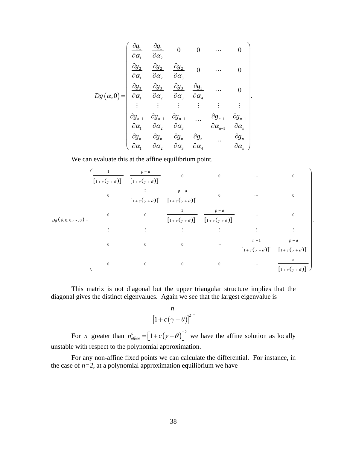$$
Dg(\alpha,0) = \begin{pmatrix} \frac{\partial g_1}{\partial \alpha_1} & \frac{\partial g_1}{\partial \alpha_2} & 0 & 0 & \cdots & 0 \\ \frac{\partial g_2}{\partial \alpha_1} & \frac{\partial g_2}{\partial \alpha_2} & \frac{\partial g_2}{\partial \alpha_3} & 0 & \cdots & 0 \\ \frac{\partial g_3}{\partial \alpha_1} & \frac{\partial g_3}{\partial \alpha_2} & \frac{\partial g_3}{\partial \alpha_3} & \frac{\partial g_3}{\partial \alpha_4} & \cdots & 0 \\ \vdots & \vdots & \vdots & \vdots & \vdots & \vdots \\ \frac{\partial g_{n-1}}{\partial \alpha_1} & \frac{\partial g_{n-1}}{\partial \alpha_2} & \frac{\partial g_{n-1}}{\partial \alpha_3} & \cdots & \frac{\partial g_{n-1}}{\partial \alpha_{n-1}} & \frac{\partial g_{n-1}}{\partial \alpha_n} \\ \frac{\partial g_n}{\partial \alpha_1} & \frac{\partial g_n}{\partial \alpha_2} & \frac{\partial g_n}{\partial \alpha_3} & \frac{\partial g_n}{\partial \alpha_4} & \cdots & \frac{\partial g_n}{\partial \alpha_n} \end{pmatrix}.
$$

We can evaluate this at the affine equilibrium point.

$$
D_{g}(\theta,0,0,...,0) = \begin{pmatrix} \frac{1}{\left[1+c(\gamma+\theta)\right]^{2}} & 0 & 0 & ... & 0 \\ 0 & \frac{2}{\left[1+c(\gamma+\theta)\right]^{2}} & \frac{p-a}{\left[1+c(\gamma+\theta)\right]^{2}} & 0 & ... & 0 \\ 0 & 0 & \frac{3}{\left[1+c(\gamma+\theta)\right]^{2}} & 0 & ... & 0 \\ 0 & 0 & \frac{3}{\left[1+c(\gamma+\theta)\right]^{2}} & \frac{p-a}{\left[1+c(\gamma+\theta)\right]^{2}} & ... & 0 \\ \vdots & \vdots & \vdots & \vdots & \vdots & \vdots \\ 0 & 0 & 0 & ... & \frac{n-1}{\left[1+c(\gamma+\theta)\right]^{2}} & \frac{p-a}{\left[1+c(\gamma+\theta)\right]^{2}} \end{pmatrix}.
$$

 This matrix is not diagonal but the upper triangular structure implies that the diagonal gives the distinct eigenvalues. Again we see that the largest eigenvalue is

$$
\frac{n}{\big[1+c\big(\gamma+\theta\big)\big]^2}\,.
$$

For *n* greater than  $n_{\text{affine}}^c = \left[1 + c(\gamma + \theta)\right]^2$  we have the affine solution as locally unstable with respect to the polynomial approximation.

 For any non-affine fixed points we can calculate the differential. For instance, in the case of  $n=2$ , at a polynomial approximation equilibrium we have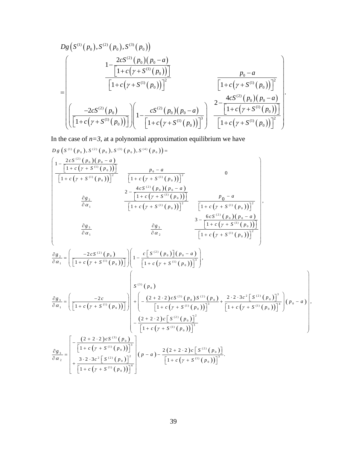$$
D_{g}\left(S^{(1)}(p_{0}), S^{(2)}(p_{0}), S^{(3)}(p_{0})\right)
$$
\n
$$
=\left(\begin{array}{c}\n1-\frac{2cS^{(2)}(p_{0})(p_{0}-a)}{\left[1+c\left(\gamma+S^{(1)}(p_{0})\right)\right]}\n\end{array}\right.\frac{p_{0}-a}{\left[1+c\left(\gamma+S^{(1)}(p_{0})\right)\right]^{2}}\n\left.\begin{array}{c}\n\frac{p_{0}-a}{\left[1+c\left(\gamma+S^{(1)}(p_{0})\right)\right]^{2}}\n\end{array}\right.
$$
\n
$$
\left(\frac{-2cS^{(2)}(p_{0})}{\left[1+c\left(\gamma+S^{(1)}(p_{0})\right)\right]}\n\left(1-\frac{cS^{(2)}(p_{0})(p_{0}-a)}{\left[1+c\left(\gamma+S^{(1)}(p_{0})\right)\right]^{3}}\right)\n\left.\begin{array}{c}\n2-\frac{4cS^{(2)}(p_{0})(p_{0}-a)}{\left[1+c\left(\gamma+S^{(1)}(p_{0})\right)\right]^{2}}\n\end{array}\right.\n\right).
$$

In the case of  $n=3$ , at a polynomial approximation equilibrium we have

$$
D g \left( S^{(1)}(p_0), S^{(2)}(p_0), S^{(3)}(p_0), S^{(4)}(p_0) \right) =
$$
\n
$$
\left[ \frac{1 - \frac{2c S^{(2)}(p_0)(p_0 - a)}{1 + c (y + S^{(1)}(p_0))} \right] \frac{p_0 - a}{1 + c (y + S^{(1)}(p_0)) \Big]^2} \frac{1}{\left[ 1 + c (y + S^{(1)}(p_0)) \right]^2} \frac{p_0 - a}{1 + c (y + S^{(1)}(p_0)) \Big]^2} \frac{1}{\left[ 1 + c (y + S^{(1)}(p_0)) \right]^2} \frac{p_0 - a}{\left[ 1 + c (y + S^{(1)}(p_0)) \right]^2} \frac{1}{\left[ 1 + c (y + S^{(1)}(p_0)) \right]^2} \frac{p_0 - a}{\left[ 1 + c (y + S^{(1)}(p_0)) \right]^2} \frac{3 - \frac{6c S^{(2)}(p_0)(p_0 - a)}{1 + c (y + S^{(1)}(p_0))} \Big]^2}{3 - \frac{6c S^{(1)}(p_0)(p_0 - a)}{1 + c (y + S^{(1)}(p_0))} \Big]^2}
$$
\n
$$
\frac{\partial g_3}{\partial \alpha_1} = \left( \frac{-2c S^{(2)}(p_0)}{\left[ 1 + c (y + S^{(1)}(p_0)) \right]} \right) \left( 1 - \frac{c \left[ S^{(2)}(p_0) \right] (p_0 - a)}{\left[ 1 + c (y + S^{(1)}(p_0)) \right]^3} \right),
$$
\n
$$
\frac{\partial g_1}{\partial \alpha_1} = \left( \frac{-2c}{\left[ 1 + c (y + S^{(1)}(p_0)) \right]} \right) \left( 1 - \frac{(2 + 2 \cdot 2)c S^{(3)}(p_0) S^{(2)}(p_0) + 2 \cdot 2 \cdot 3c^2 \left[ S^{(2)}(p_0) \right]^3}{\left[ 1 + c (y + S^{(1)}(p_0)) \right]^3} \right) \left( p_0 - a \right),
$$
\n
$$
\frac{\partial g_3}{\partial \alpha_2} = \left[ \frac{-\frac{(2 + 2 \cdot
$$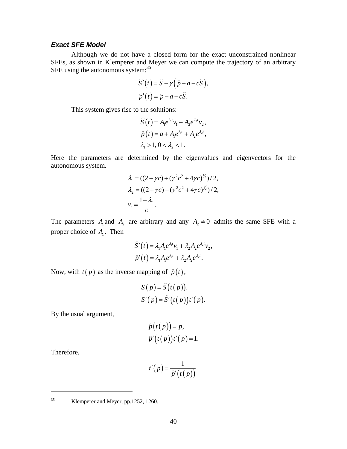## *Exact SFE Model*

 Although we do not have a closed form for the exact unconstrained nonlinear SFEs, as shown in Klemperer and Meyer we can compute the trajectory of an arbitrary SFE using the autonomous system:<sup>35</sup>

$$
\hat{S}'(t) = \hat{S} + \gamma (\hat{p} - a - c\hat{S}),
$$
  

$$
\hat{p}'(t) = \hat{p} - a - c\hat{S}.
$$

This system gives rise to the solutions:

$$
\widehat{S}(t) = A_1 e^{\lambda_1 t} v_1 + A_2 e^{\lambda_2 t} v_2,
$$
  
\n
$$
\widehat{p}(t) = a + A_1 e^{\lambda_1 t} + A_2 e^{\lambda_2 t},
$$
  
\n
$$
\lambda_1 > 1, 0 < \lambda_2 < 1.
$$

Here the parameters are determined by the eigenvalues and eigenvectors for the autonomous system.

$$
\lambda_1 = ((2 + \gamma c) + (\gamma^2 c^2 + 4\gamma c)^{\frac{1}{2}})/2,\n\lambda_2 = ((2 + \gamma c) - (\gamma^2 c^2 + 4\gamma c)^{\frac{1}{2}})/2,\n\nu_i = \frac{1 - \lambda_i}{c}.
$$

The parameters  $A_1$  and  $A_2$  are arbitrary and any  $A_2 \neq 0$  admits the same SFE with a proper choice of  $A_1$ . Then

$$
\widehat{S}'(t) = \lambda_1 A_1 e^{\lambda_1 t} v_1 + \lambda_2 A_2 e^{\lambda_2 t} v_2,
$$
  

$$
\widehat{p}'(t) = \lambda_1 A_1 e^{\lambda_1 t} + \lambda_2 A_2 e^{\lambda_2 t}.
$$

Now, with  $t(p)$  as the inverse mapping of  $\hat{p}(t)$ ,

$$
S(p) = \hat{S}(t(p)).
$$
  
\n
$$
S'(p) = \hat{S}'(t(p))t'(p).
$$

By the usual argument,

$$
\widehat{p}(t(p)) = p,
$$
  

$$
\widehat{p}'(t(p))t'(p) = 1.
$$

Therefore,

$$
t'(p) = \frac{1}{\widehat{p}'(t(p))}.
$$

<u>.</u>

<sup>35</sup> Klemperer and Meyer, pp.1252, 1260.